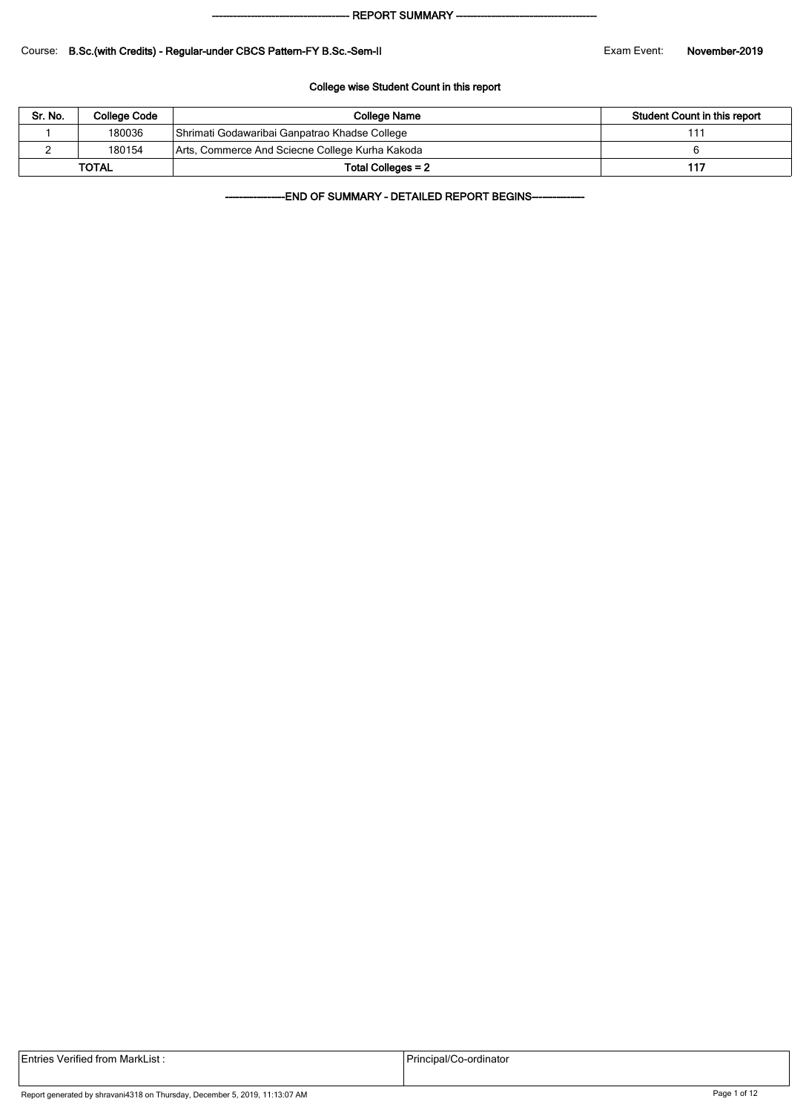#### - REPORT SUMMARY --

#### Course: B.Sc.(with Credits) - Regular-under CBCS Pattern-FY B.Sc.-Sem-II Exam Exam Event: November-2019

#### College wise Student Count in this report

| Sr. No. | College Code | College Name                                    | Student Count in this report |
|---------|--------------|-------------------------------------------------|------------------------------|
|         | 180036       | Shrimati Godawaribai Ganpatrao Khadse College   | 11′                          |
|         | 180154       | Arts, Commerce And Sciecne College Kurha Kakoda |                              |
|         | <b>TOTAL</b> | Total Colleges = 2                              | 117                          |

-END OF SUMMARY - DETAILED REPORT BEGINS-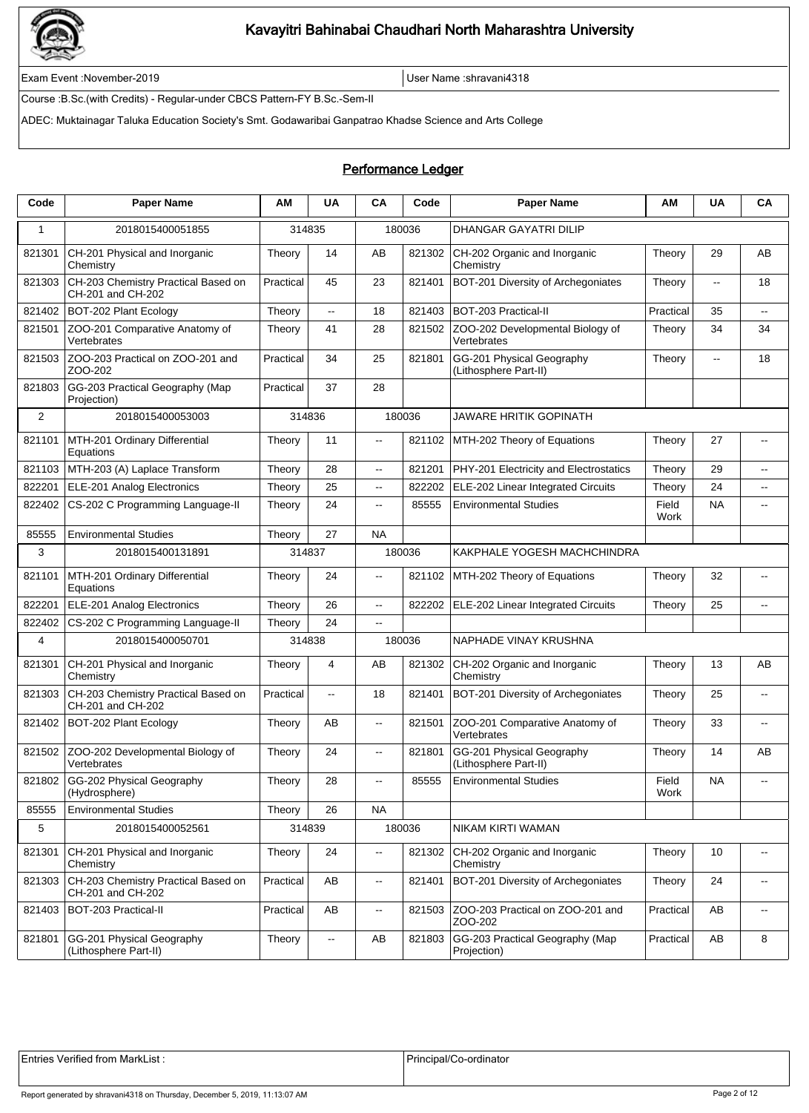

Exam Event :November-2019 User Name :shravani4318

Course :B.Sc.(with Credits) - Regular-under CBCS Pattern-FY B.Sc.-Sem-II

ADEC: Muktainagar Taluka Education Society's Smt. Godawaribai Ganpatrao Khadse Science and Arts College

### Performance Ledger

| Code         | <b>Paper Name</b>                                        | ΑМ        | <b>UA</b>                | CA                       | Code   | <b>Paper Name</b>                                  | ΑM            | <b>UA</b>                | CA                                            |
|--------------|----------------------------------------------------------|-----------|--------------------------|--------------------------|--------|----------------------------------------------------|---------------|--------------------------|-----------------------------------------------|
| $\mathbf{1}$ | 2018015400051855                                         | 314835    |                          |                          | 180036 | <b>DHANGAR GAYATRI DILIP</b>                       |               |                          |                                               |
| 821301       | CH-201 Physical and Inorganic<br>Chemistry               | Theory    | 14                       | AB                       | 821302 | CH-202 Organic and Inorganic<br>Chemistry          | Theory        | 29                       | AB                                            |
| 821303       | CH-203 Chemistry Practical Based on<br>CH-201 and CH-202 | Practical | 45                       | 23                       | 821401 | BOT-201 Diversity of Archegoniates                 | Theory        | $\overline{\phantom{a}}$ | 18                                            |
| 821402       | BOT-202 Plant Ecology                                    | Theory    | $\overline{\phantom{a}}$ | 18                       | 821403 | BOT-203 Practical-II                               | Practical     | 35                       | $\overline{\phantom{a}}$                      |
| 821501       | ZOO-201 Comparative Anatomy of<br>Vertebrates            | Theory    | 41                       | 28                       | 821502 | ZOO-202 Developmental Biology of<br>Vertebrates    | Theory        | 34                       | 34                                            |
| 821503       | ZOO-203 Practical on ZOO-201 and<br>ZOO-202              | Practical | 34                       | 25                       | 821801 | GG-201 Physical Geography<br>(Lithosphere Part-II) | Theory        | щ.                       | 18                                            |
| 821803       | GG-203 Practical Geography (Map<br>Projection)           | Practical | 37                       | 28                       |        |                                                    |               |                          |                                               |
| 2            | 2018015400053003                                         | 314836    |                          |                          | 180036 | <b>JAWARE HRITIK GOPINATH</b>                      |               |                          |                                               |
| 821101       | MTH-201 Ordinary Differential<br>Equations               | Theory    | 11                       | $\overline{\phantom{a}}$ | 821102 | MTH-202 Theory of Equations                        | Theory        | 27                       | $\overline{\phantom{a}}$                      |
| 821103       | MTH-203 (A) Laplace Transform                            | Theory    | 28                       | Ξ.                       | 821201 | PHY-201 Electricity and Electrostatics             | Theory        | 29                       | --                                            |
| 822201       | ELE-201 Analog Electronics                               | Theory    | 25                       | Ξ.                       | 822202 | ELE-202 Linear Integrated Circuits                 | Theory        | 24                       | --                                            |
| 822402       | CS-202 C Programming Language-II                         | Theory    | 24                       | щ.                       | 85555  | <b>Environmental Studies</b>                       | Field<br>Work | <b>NA</b>                | $\overline{\phantom{a}}$                      |
| 85555        | <b>Environmental Studies</b>                             | Theory    | 27                       | <b>NA</b>                |        |                                                    |               |                          |                                               |
| 3            | 2018015400131891                                         | 314837    |                          |                          | 180036 | KAKPHALE YOGESH MACHCHINDRA                        |               |                          |                                               |
| 821101       | MTH-201 Ordinary Differential<br>Equations               | Theory    | 24                       | --                       | 821102 | MTH-202 Theory of Equations                        | Theory        | 32                       | $\overline{\phantom{a}}$                      |
| 822201       | ELE-201 Analog Electronics                               | Theory    | 26                       | Ξ.                       | 822202 | ELE-202 Linear Integrated Circuits                 | Theory        | 25                       | $\overline{\phantom{a}}$                      |
| 822402       | CS-202 C Programming Language-II                         | Theory    | 24                       | $\overline{\phantom{a}}$ |        |                                                    |               |                          |                                               |
| 4            | 2018015400050701                                         | 314838    |                          |                          | 180036 | NAPHADE VINAY KRUSHNA                              |               |                          |                                               |
| 821301       | CH-201 Physical and Inorganic<br>Chemistry               | Theory    | 4                        | AB                       | 821302 | CH-202 Organic and Inorganic<br>Chemistry          | Theory        | 13                       | AB                                            |
| 821303       | CH-203 Chemistry Practical Based on<br>CH-201 and CH-202 | Practical | $\overline{\phantom{a}}$ | 18                       | 821401 | BOT-201 Diversity of Archegoniates                 | Theory        | 25                       | $\overline{\phantom{a}}$                      |
| 821402       | BOT-202 Plant Ecology                                    | Theory    | AB                       | щ.                       | 821501 | ZOO-201 Comparative Anatomy of<br>Vertebrates      | Theory        | 33                       | $\overline{\phantom{a}}$                      |
| 821502       | ZOO-202 Developmental Biology of<br>Vertebrates          | Theory    | 24                       | $\overline{\phantom{a}}$ | 821801 | GG-201 Physical Geography<br>(Lithosphere Part-II) | Theory        | 14                       | AB                                            |
| 821802       | GG-202 Physical Geography<br>(Hydrosphere)               | Theory    | 28                       | $\overline{\phantom{a}}$ | 85555  | <b>Environmental Studies</b>                       | Field<br>Work | <b>NA</b>                | --                                            |
| 85555        | <b>Environmental Studies</b>                             | Theory    | 26                       | <b>NA</b>                |        |                                                    |               |                          |                                               |
| 5            | 2018015400052561                                         | 314839    |                          |                          | 180036 | NIKAM KIRTI WAMAN                                  |               |                          |                                               |
| 821301       | CH-201 Physical and Inorganic<br>Chemistry               | Theory    | 24                       | --                       | 821302 | CH-202 Organic and Inorganic<br>Chemistry          | Theory        | 10                       | $\overline{\phantom{m}}$                      |
| 821303       | CH-203 Chemistry Practical Based on<br>CH-201 and CH-202 | Practical | AB                       | щ.                       | 821401 | BOT-201 Diversity of Archegoniates                 | Theory        | 24                       | $\sim$                                        |
| 821403       | BOT-203 Practical-II                                     | Practical | AB                       | Ξ.                       | 821503 | ZOO-203 Practical on ZOO-201 and<br>ZOO-202        | Practical     | AB                       | $\mathord{\hspace{1pt}\text{--}\hspace{1pt}}$ |
| 821801       | GG-201 Physical Geography<br>(Lithosphere Part-II)       | Theory    | ۰.                       | AB                       | 821803 | GG-203 Practical Geography (Map<br>Projection)     | Practical     | AB                       | 8                                             |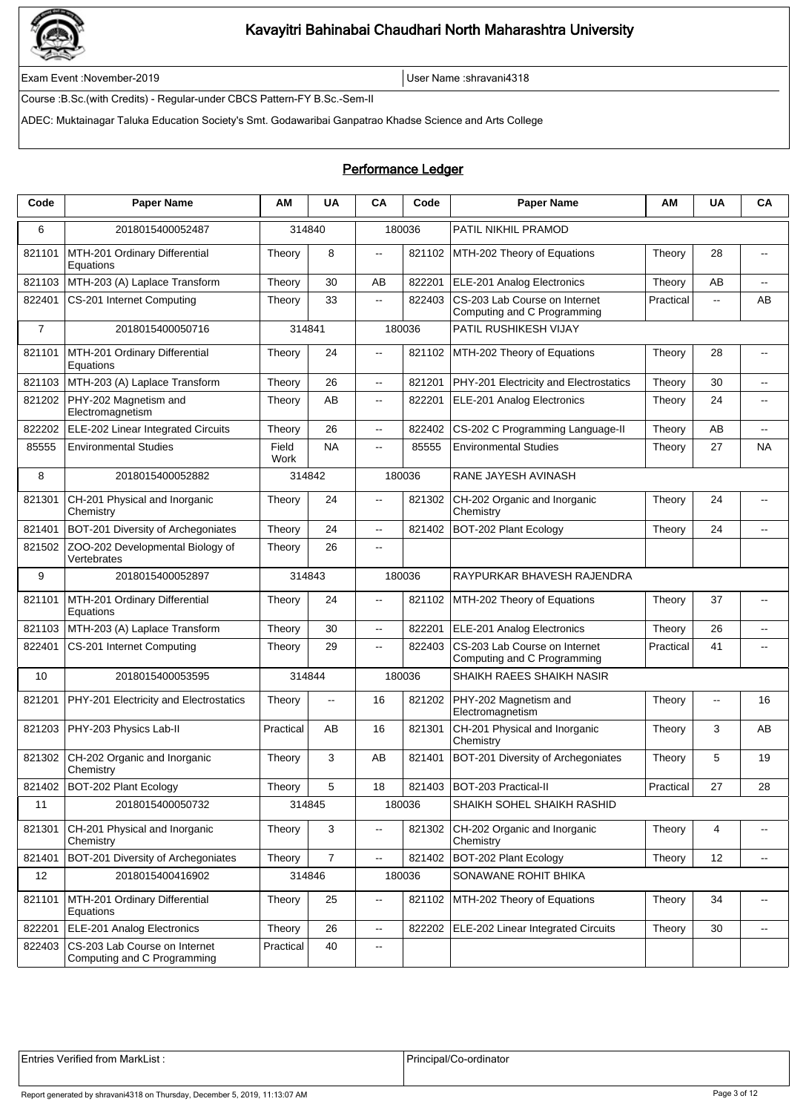

Exam Event :November-2019 User Name :shravani4318

Course :B.Sc.(with Credits) - Regular-under CBCS Pattern-FY B.Sc.-Sem-II

ADEC: Muktainagar Taluka Education Society's Smt. Godawaribai Ganpatrao Khadse Science and Arts College

### Performance Ledger

| Code           | <b>Paper Name</b>                                            | ΑМ            | <b>UA</b>                | CA                       | Code   | <b>Paper Name</b>                                            | AM        | <b>UA</b>                | CA                                            |
|----------------|--------------------------------------------------------------|---------------|--------------------------|--------------------------|--------|--------------------------------------------------------------|-----------|--------------------------|-----------------------------------------------|
| 6              | 2018015400052487                                             |               | 314840                   |                          | 180036 | PATIL NIKHIL PRAMOD                                          |           |                          |                                               |
| 821101         | MTH-201 Ordinary Differential<br>Equations                   | Theory        | 8                        | $\overline{\phantom{a}}$ | 821102 | MTH-202 Theory of Equations                                  | Theory    | 28                       | $\overline{\phantom{a}}$                      |
| 821103         | MTH-203 (A) Laplace Transform                                | Theory        | 30                       | AB                       | 822201 | ELE-201 Analog Electronics                                   | Theory    | AB                       | $\overline{a}$                                |
| 822401         | CS-201 Internet Computing                                    | Theory        | 33                       | Ξ.                       | 822403 | CS-203 Lab Course on Internet<br>Computing and C Programming | Practical | Ξ.                       | AB                                            |
| $\overline{7}$ | 2018015400050716                                             | 314841        |                          |                          | 180036 | PATIL RUSHIKESH VIJAY                                        |           |                          |                                               |
| 821101         | MTH-201 Ordinary Differential<br>Equations                   | Theory        | 24                       | Щ.                       | 821102 | MTH-202 Theory of Equations                                  | Theory    | 28                       | --                                            |
| 821103         | MTH-203 (A) Laplace Transform                                | Theory        | 26                       | ц,                       | 821201 | PHY-201 Electricity and Electrostatics                       | Theory    | 30                       | --                                            |
| 821202         | PHY-202 Magnetism and<br>Electromagnetism                    | Theory        | AB                       | $\overline{\phantom{a}}$ | 822201 | ELE-201 Analog Electronics                                   | Theory    | 24                       | $\overline{\phantom{a}}$                      |
| 822202         | ELE-202 Linear Integrated Circuits                           | Theory        | 26                       | $\overline{\phantom{a}}$ | 822402 | CS-202 C Programming Language-II                             | Theory    | AB                       | $\overline{\phantom{a}}$                      |
| 85555          | <b>Environmental Studies</b>                                 | Field<br>Work | <b>NA</b>                | $\overline{\phantom{a}}$ | 85555  | <b>Environmental Studies</b>                                 | Theory    | 27                       | NA                                            |
| 8              | 2018015400052882                                             |               | 314842                   |                          | 180036 | RANE JAYESH AVINASH                                          |           |                          |                                               |
| 821301         | CH-201 Physical and Inorganic<br>Chemistry                   | Theory        | 24                       | $\overline{\phantom{a}}$ | 821302 | CH-202 Organic and Inorganic<br>Chemistry                    | Theory    | 24                       | $\overline{a}$                                |
| 821401         | BOT-201 Diversity of Archegoniates                           | Theory        | 24                       | --                       | 821402 | BOT-202 Plant Ecology                                        | Theory    | 24                       | $\overline{a}$                                |
| 821502         | ZOO-202 Developmental Biology of<br>Vertebrates              | Theory        | 26                       | --                       |        |                                                              |           |                          |                                               |
| 9              | 2018015400052897                                             |               | 314843                   |                          | 180036 | RAYPURKAR BHAVESH RAJENDRA                                   |           |                          |                                               |
| 821101         | MTH-201 Ordinary Differential<br>Equations                   | Theory        | 24                       | $\overline{a}$           | 821102 | MTH-202 Theory of Equations                                  | Theory    | 37                       | $\overline{a}$                                |
| 821103         | MTH-203 (A) Laplace Transform                                | Theory        | 30                       | Ш,                       | 822201 | ELE-201 Analog Electronics                                   | Theory    | 26                       | $\overline{\phantom{a}}$                      |
| 822401         | CS-201 Internet Computing                                    | Theory        | 29                       | $\overline{\phantom{a}}$ | 822403 | CS-203 Lab Course on Internet<br>Computing and C Programming | Practical | 41                       | $\overline{\phantom{a}}$                      |
| 10             | 2018015400053595                                             |               | 314844                   |                          | 180036 | SHAIKH RAEES SHAIKH NASIR                                    |           |                          |                                               |
| 821201         | PHY-201 Electricity and Electrostatics                       | Theory        | $\overline{\phantom{a}}$ | 16                       | 821202 | PHY-202 Magnetism and<br>Electromagnetism                    | Theory    | $\overline{\phantom{a}}$ | 16                                            |
| 821203         | PHY-203 Physics Lab-II                                       | Practical     | AB                       | 16                       | 821301 | CH-201 Physical and Inorganic<br>Chemistry                   | Theory    | 3                        | AB                                            |
| 821302         | CH-202 Organic and Inorganic<br>Chemistry                    | Theory        | 3                        | AB                       | 821401 | BOT-201 Diversity of Archegoniates                           | Theory    | 5                        | 19                                            |
|                | 821402 BOT-202 Plant Ecology                                 | Theory        | 5                        | $18$                     |        | 821403 BOT-203 Practical-II                                  | Practical | 27                       | 28                                            |
| 11             | 2018015400050732                                             |               | 314845                   |                          | 180036 | SHAIKH SOHEL SHAIKH RASHID                                   |           |                          |                                               |
| 821301         | CH-201 Physical and Inorganic<br>Chemistry                   | Theory        | 3                        | $\overline{\phantom{a}}$ | 821302 | CH-202 Organic and Inorganic<br>Chemistry                    | Theory    | 4                        | --                                            |
| 821401         | BOT-201 Diversity of Archegoniates                           | Theory        | $\overline{7}$           | ц.                       | 821402 | BOT-202 Plant Ecology                                        | Theory    | $12 \overline{ }$        | $\mathord{\hspace{1pt}\text{--}\hspace{1pt}}$ |
| 12             | 2018015400416902                                             |               | 314846                   |                          | 180036 | SONAWANE ROHIT BHIKA                                         |           |                          |                                               |
| 821101         | MTH-201 Ordinary Differential<br>Equations                   | Theory        | 25                       | $\overline{\phantom{a}}$ | 821102 | MTH-202 Theory of Equations                                  | Theory    | 34                       | --                                            |
| 822201         | ELE-201 Analog Electronics                                   | Theory        | 26                       | --                       | 822202 | ELE-202 Linear Integrated Circuits                           | Theory    | 30                       | --                                            |
| 822403         | CS-203 Lab Course on Internet<br>Computing and C Programming | Practical     | 40                       | ۰.                       |        |                                                              |           |                          |                                               |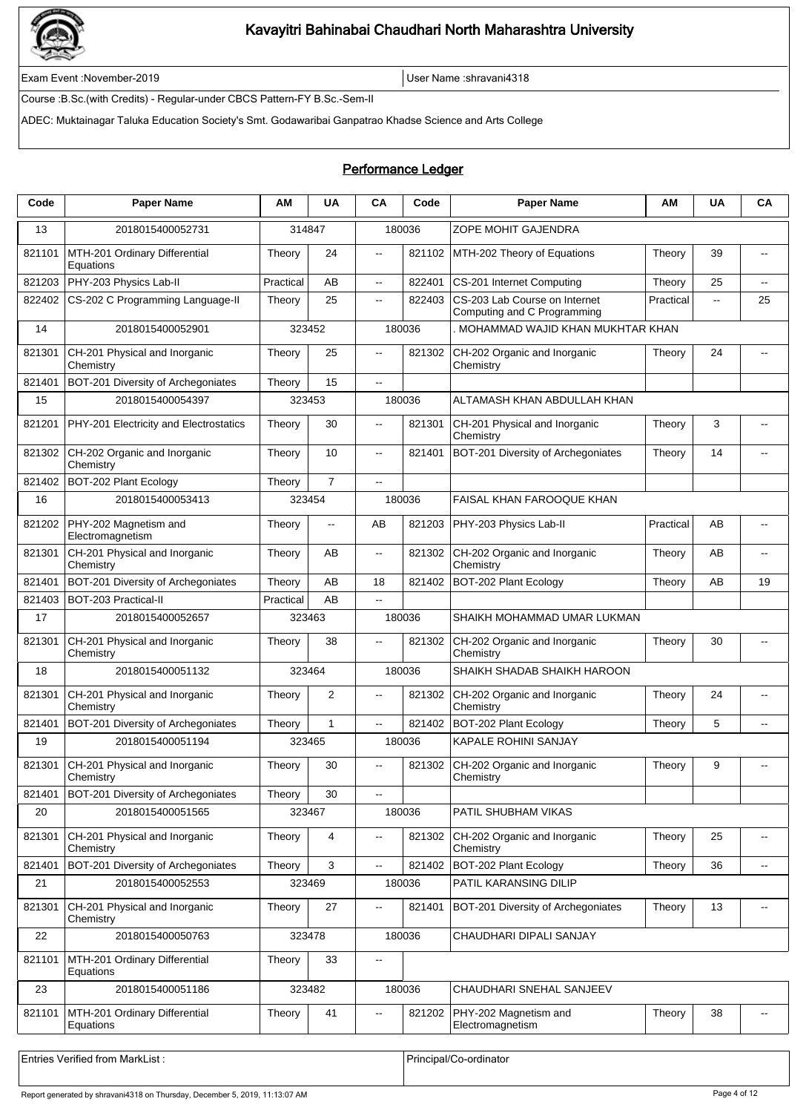

Exam Event :November-2019 User Name :shravani4318

Course :B.Sc.(with Credits) - Regular-under CBCS Pattern-FY B.Sc.-Sem-II

ADEC: Muktainagar Taluka Education Society's Smt. Godawaribai Ganpatrao Khadse Science and Arts College

### Performance Ledger

| Code   | <b>Paper Name</b>                          | ΑM        | <b>UA</b>                | <b>CA</b>                | Code   | <b>Paper Name</b>                                            | ΑM        | <b>UA</b>    | CA                       |
|--------|--------------------------------------------|-----------|--------------------------|--------------------------|--------|--------------------------------------------------------------|-----------|--------------|--------------------------|
| 13     | 2018015400052731                           |           | 314847                   |                          | 180036 | ZOPE MOHIT GAJENDRA                                          |           |              |                          |
| 821101 | MTH-201 Ordinary Differential<br>Equations | Theory    | 24                       | $\ddotsc$                | 821102 | MTH-202 Theory of Equations                                  | Theory    | 39           | $\overline{\phantom{a}}$ |
| 821203 | PHY-203 Physics Lab-II                     | Practical | AB                       | ц.                       | 822401 | CS-201 Internet Computing                                    | Theory    | 25           | $\overline{\phantom{a}}$ |
| 822402 | CS-202 C Programming Language-II           | Theory    | 25                       | $\overline{\phantom{a}}$ | 822403 | CS-203 Lab Course on Internet<br>Computing and C Programming | Practical | $\mathbf{u}$ | 25                       |
| 14     | 2018015400052901                           |           | 323452                   |                          | 180036 | MOHAMMAD WAJID KHAN MUKHTAR KHAN                             |           |              |                          |
| 821301 | CH-201 Physical and Inorganic<br>Chemistry | Theory    | 25                       | $\overline{a}$           | 821302 | CH-202 Organic and Inorganic<br>Chemistry                    | Theory    | 24           | $\overline{a}$           |
| 821401 | BOT-201 Diversity of Archegoniates         | Theory    | 15                       | $\sim$                   |        |                                                              |           |              |                          |
| 15     | 2018015400054397                           |           | 323453                   |                          | 180036 | ALTAMASH KHAN ABDULLAH KHAN                                  |           |              |                          |
| 821201 | PHY-201 Electricity and Electrostatics     | Theory    | 30                       | $\overline{a}$           | 821301 | CH-201 Physical and Inorganic<br>Chemistry                   | Theory    | 3            |                          |
| 821302 | CH-202 Organic and Inorganic<br>Chemistry  | Theory    | 10                       | $\overline{\phantom{a}}$ | 821401 | BOT-201 Diversity of Archegoniates                           | Theory    | 14           |                          |
| 821402 | BOT-202 Plant Ecology                      | Theory    | $\overline{7}$           | $\overline{a}$           |        |                                                              |           |              |                          |
| 16     | 2018015400053413                           |           | 323454                   |                          | 180036 | <b>FAISAL KHAN FAROOQUE KHAN</b>                             |           |              |                          |
| 821202 | PHY-202 Magnetism and<br>Electromagnetism  | Theory    | $\overline{\phantom{a}}$ | AB                       | 821203 | PHY-203 Physics Lab-II                                       | Practical | AB           | $-$                      |
| 821301 | CH-201 Physical and Inorganic<br>Chemistry | Theory    | AB                       | $\overline{\phantom{a}}$ | 821302 | CH-202 Organic and Inorganic<br>Chemistry                    | Theory    | AB           | $\overline{\phantom{a}}$ |
| 821401 | BOT-201 Diversity of Archegoniates         | Theory    | AB                       | 18                       | 821402 | BOT-202 Plant Ecology                                        | Theory    | AB           | 19                       |
| 821403 | BOT-203 Practical-II                       | Practical | AB                       | $\ddotsc$                |        |                                                              |           |              |                          |
| 17     | 2018015400052657                           |           | 323463                   |                          | 180036 | SHAIKH MOHAMMAD UMAR LUKMAN                                  |           |              |                          |
| 821301 | CH-201 Physical and Inorganic<br>Chemistry | Theory    | 38                       | $\overline{\phantom{a}}$ | 821302 | CH-202 Organic and Inorganic<br>Chemistry                    | Theory    | 30           | $\overline{a}$           |
| 18     | 2018015400051132                           |           | 323464                   |                          | 180036 | SHAIKH SHADAB SHAIKH HAROON                                  |           |              |                          |
| 821301 | CH-201 Physical and Inorganic<br>Chemistry | Theory    | 2                        | $\overline{a}$           | 821302 | CH-202 Organic and Inorganic<br>Chemistry                    | Theory    | 24           | $\overline{a}$           |
| 821401 | BOT-201 Diversity of Archegoniates         | Theory    | 1                        | $\overline{\phantom{a}}$ | 821402 | BOT-202 Plant Ecology                                        | Theory    | 5            |                          |
| 19     | 2018015400051194                           |           | 323465                   |                          | 180036 | KAPALE ROHINI SANJAY                                         |           |              |                          |
| 821301 | CH-201 Physical and Inorganic<br>Chemistry | Theory    | 30                       |                          | 821302 | CH-202 Organic and Inorganic<br>Chemistry                    | Theory    | 9            |                          |
| 821401 | BOT-201 Diversity of Archegoniates         | Theory    | 30                       | $\ddotsc$                |        |                                                              |           |              |                          |
| 20     | 2018015400051565                           |           | 323467                   |                          | 180036 | PATIL SHUBHAM VIKAS                                          |           |              |                          |
| 821301 | CH-201 Physical and Inorganic<br>Chemistry | Theory    | 4                        | $\overline{\phantom{a}}$ | 821302 | CH-202 Organic and Inorganic<br>Chemistry                    | Theory    | 25           | $\overline{\phantom{a}}$ |
| 821401 | BOT-201 Diversity of Archegoniates         | Theory    | 3                        | ц.                       | 821402 | BOT-202 Plant Ecology                                        | Theory    | 36           | $\overline{\phantom{a}}$ |
| 21     | 2018015400052553                           |           | 323469                   |                          | 180036 | PATIL KARANSING DILIP                                        |           |              |                          |
| 821301 | CH-201 Physical and Inorganic<br>Chemistry | Theory    | 27                       | $\overline{\phantom{a}}$ | 821401 | BOT-201 Diversity of Archegoniates                           | Theory    | 13           | $\overline{\phantom{a}}$ |
| 22     | 2018015400050763                           |           | 323478                   |                          | 180036 | CHAUDHARI DIPALI SANJAY                                      |           |              |                          |
| 821101 | MTH-201 Ordinary Differential<br>Equations | Theory    | 33                       | $\overline{\phantom{a}}$ |        |                                                              |           |              |                          |
| 23     | 2018015400051186                           |           | 323482                   |                          | 180036 | CHAUDHARI SNEHAL SANJEEV                                     |           |              |                          |
| 821101 | MTH-201 Ordinary Differential<br>Equations | Theory    | 41                       | $\overline{\phantom{a}}$ | 821202 | PHY-202 Magnetism and<br>Electromagnetism                    | Theory    | 38           | $\overline{\phantom{a}}$ |
|        |                                            |           |                          |                          |        |                                                              |           |              |                          |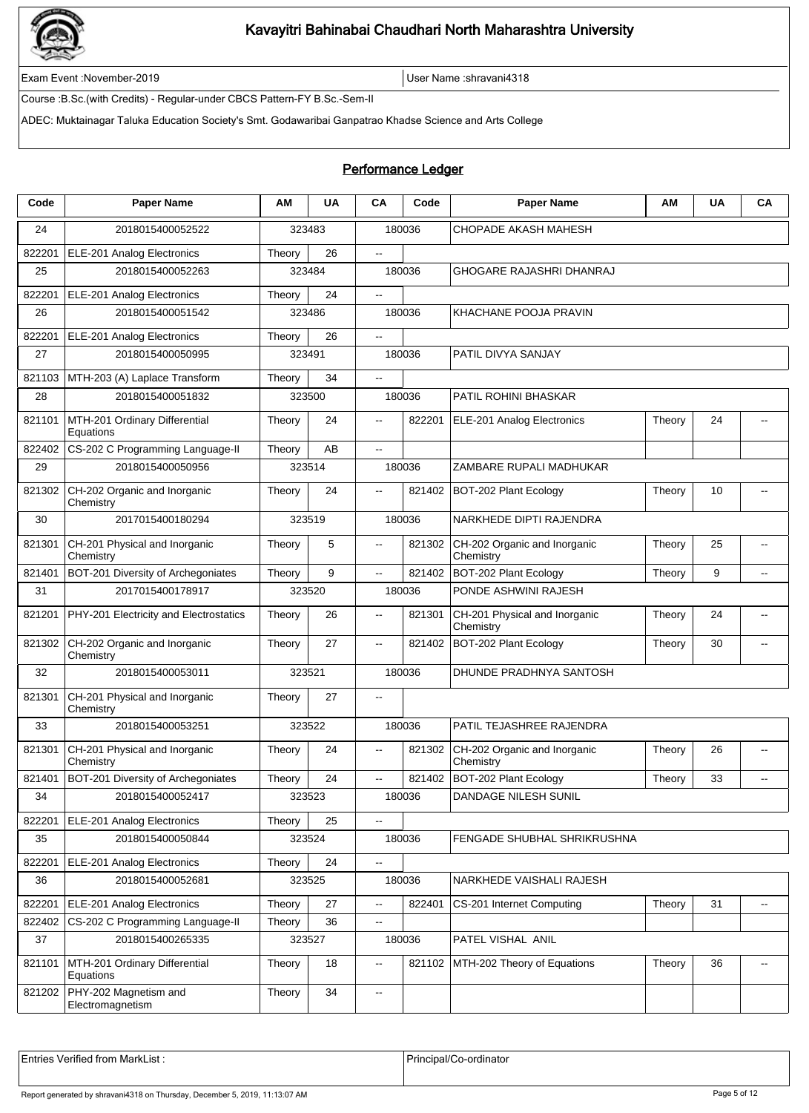

Exam Event :November-2019 User Name :shravani4318

Course :B.Sc.(with Credits) - Regular-under CBCS Pattern-FY B.Sc.-Sem-II

ADEC: Muktainagar Taluka Education Society's Smt. Godawaribai Ganpatrao Khadse Science and Arts College

#### Performance Ledger

| Code   | <b>Paper Name</b>                          | ΑM     | <b>UA</b> | CA                       | Code   | <b>Paper Name</b>                          | ΑM     | <b>UA</b> | CA                       |
|--------|--------------------------------------------|--------|-----------|--------------------------|--------|--------------------------------------------|--------|-----------|--------------------------|
| 24     | 2018015400052522                           |        | 323483    |                          | 180036 | CHOPADE AKASH MAHESH                       |        |           |                          |
| 822201 | ELE-201 Analog Electronics                 | Theory | 26        | Ξ.                       |        |                                            |        |           |                          |
| 25     | 2018015400052263                           |        | 323484    |                          | 180036 | GHOGARE RAJASHRI DHANRAJ                   |        |           |                          |
| 822201 | ELE-201 Analog Electronics                 | Theory | 24        | --                       |        |                                            |        |           |                          |
| 26     | 2018015400051542                           |        | 323486    |                          | 180036 | KHACHANE POOJA PRAVIN                      |        |           |                          |
| 822201 | ELE-201 Analog Electronics                 | Theory | 26        | ц.                       |        |                                            |        |           |                          |
| 27     | 2018015400050995                           |        | 323491    |                          | 180036 | PATIL DIVYA SANJAY                         |        |           |                          |
| 821103 | MTH-203 (A) Laplace Transform              | Theory | 34        | --                       |        |                                            |        |           |                          |
| 28     | 2018015400051832                           |        | 323500    |                          | 180036 | PATIL ROHINI BHASKAR                       |        |           |                          |
| 821101 | MTH-201 Ordinary Differential<br>Equations | Theory | 24        | $\overline{a}$           | 822201 | ELE-201 Analog Electronics                 | Theory | 24        |                          |
| 822402 | CS-202 C Programming Language-II           | Theory | AB        | u.                       |        |                                            |        |           |                          |
| 29     | 2018015400050956                           |        | 323514    |                          | 180036 | ZAMBARE RUPALI MADHUKAR                    |        |           |                          |
| 821302 | CH-202 Organic and Inorganic<br>Chemistry  | Theory | 24        | $\overline{a}$           | 821402 | BOT-202 Plant Ecology                      | Theory | 10        |                          |
| 30     | 2017015400180294                           |        | 323519    |                          | 180036 | NARKHEDE DIPTI RAJENDRA                    |        |           |                          |
| 821301 | CH-201 Physical and Inorganic<br>Chemistry | Theory | 5         | $\overline{\phantom{a}}$ | 821302 | CH-202 Organic and Inorganic<br>Chemistry  | Theory | 25        | $\overline{a}$           |
| 821401 | BOT-201 Diversity of Archegoniates         | Theory | 9         | --                       | 821402 | BOT-202 Plant Ecology                      | Theory | 9         | $\overline{\phantom{a}}$ |
| 31     | 2017015400178917                           |        | 323520    |                          | 180036 | PONDE ASHWINI RAJESH                       |        |           |                          |
| 821201 | PHY-201 Electricity and Electrostatics     | Theory | 26        | Ξ.                       | 821301 | CH-201 Physical and Inorganic<br>Chemistry | Theory | 24        | $\overline{\phantom{a}}$ |
| 821302 | CH-202 Organic and Inorganic<br>Chemistry  | Theory | 27        | $\overline{a}$           | 821402 | BOT-202 Plant Ecology                      | Theory | 30        |                          |
| 32     | 2018015400053011                           |        | 323521    |                          | 180036 | DHUNDE PRADHNYA SANTOSH                    |        |           |                          |
| 821301 | CH-201 Physical and Inorganic<br>Chemistry | Theory | 27        | --                       |        |                                            |        |           |                          |
| 33     | 2018015400053251                           |        | 323522    |                          | 180036 | PATIL TEJASHREE RAJENDRA                   |        |           |                          |
| 821301 | CH-201 Physical and Inorganic<br>Chemistry | Theory | 24        | Ξ.                       | 821302 | CH-202 Organic and Inorganic<br>Chemistry  | Theory | 26        | $\overline{\phantom{a}}$ |
| 821401 | BOT-201 Diversity of Archegoniates         | Theory | 24        | $\overline{a}$           | 821402 | BOT-202 Plant Ecology                      | Theory | 33        |                          |
| 34     | 2018015400052417                           |        | 323523    |                          | 180036 | DANDAGE NILESH SUNIL                       |        |           |                          |
| 822201 | ELE-201 Analog Electronics                 | Theory | 25        | --                       |        |                                            |        |           |                          |
| 35     | 2018015400050844                           |        | 323524    |                          | 180036 | FENGADE SHUBHAL SHRIKRUSHNA                |        |           |                          |
| 822201 | ELE-201 Analog Electronics                 | Theory | 24        | $\overline{\phantom{a}}$ |        |                                            |        |           |                          |
| 36     | 2018015400052681                           |        | 323525    |                          | 180036 | NARKHEDE VAISHALI RAJESH                   |        |           |                          |
| 822201 | ELE-201 Analog Electronics                 | Theory | 27        | --                       | 822401 | CS-201 Internet Computing                  | Theory | 31        | $\overline{\phantom{a}}$ |
| 822402 | CS-202 C Programming Language-II           | Theory | 36        | ۰.                       |        |                                            |        |           |                          |
| 37     | 2018015400265335                           |        | 323527    |                          | 180036 | PATEL VISHAL ANIL                          |        |           |                          |
| 821101 | MTH-201 Ordinary Differential<br>Equations | Theory | 18        | Ξ.                       | 821102 | MTH-202 Theory of Equations                | Theory | 36        | $\overline{\phantom{a}}$ |
| 821202 | PHY-202 Magnetism and<br>Electromagnetism  | Theory | 34        | --                       |        |                                            |        |           |                          |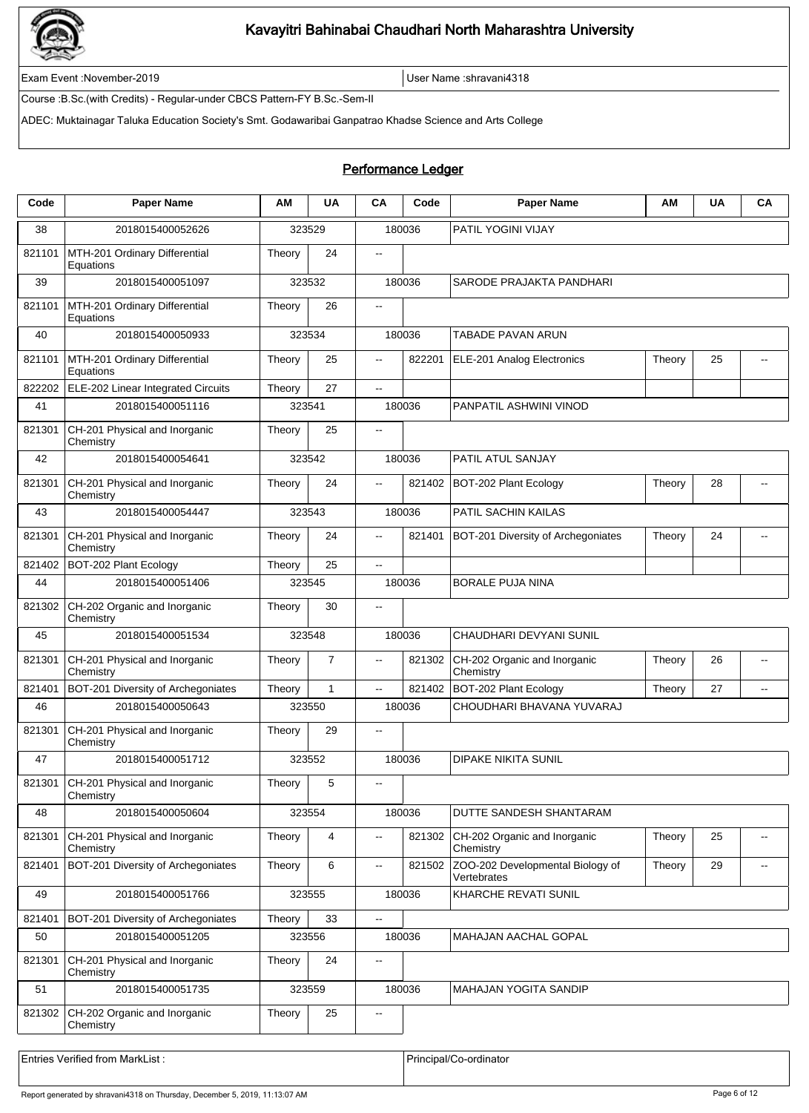

Exam Event :November-2019 User Name :shravani4318

Course :B.Sc.(with Credits) - Regular-under CBCS Pattern-FY B.Sc.-Sem-II

ADEC: Muktainagar Taluka Education Society's Smt. Godawaribai Ganpatrao Khadse Science and Arts College

#### Performance Ledger

| PATIL YOGINI VIJAY<br>323529<br>180036<br>38<br>2018015400052626<br>821101<br>MTH-201 Ordinary Differential<br>Theory<br>24<br>--<br>Equations<br>39<br>2018015400051097<br>323532<br>180036<br>SARODE PRAJAKTA PANDHARI<br>821101<br>MTH-201 Ordinary Differential<br>26<br>Theory<br>$\overline{\phantom{a}}$<br>Equations<br>2018015400050933<br>323534<br>180036<br>TABADE PAVAN ARUN<br>40<br>MTH-201 Ordinary Differential<br>25<br>822201<br>ELE-201 Analog Electronics<br>25<br>821101<br>Theory<br>Theory<br>Щ.<br>Equations<br>27<br>822202<br>ELE-202 Linear Integrated Circuits<br>Theory<br>Ξ.<br>2018015400051116<br>323541<br>180036<br>PANPATIL ASHWINI VINOD<br>41<br>821301<br>CH-201 Physical and Inorganic<br>25<br>Theory<br>$-$<br>Chemistry<br>PATIL ATUL SANJAY<br>42<br>2018015400054641<br>323542<br>180036<br>CH-201 Physical and Inorganic<br>24<br>28<br>821301<br>Theory<br>821402<br>BOT-202 Plant Ecology<br>Theory<br>$\overline{\phantom{a}}$<br>Chemistry<br>PATIL SACHIN KAILAS<br>43<br>2018015400054447<br>323543<br>180036<br>CH-201 Physical and Inorganic<br>24<br>821301<br>Theory<br>821401<br>BOT-201 Diversity of Archegoniates<br>Theory<br>24<br>$\overline{\phantom{a}}$<br>$\overline{\phantom{a}}$<br>Chemistry<br>821402<br>BOT-202 Plant Ecology<br>25<br>Theory<br>$\overline{\phantom{a}}$<br>44<br>2018015400051406<br>323545<br>180036<br><b>BORALE PUJA NINA</b><br>821302<br>CH-202 Organic and Inorganic<br>30<br>Theory<br>$\overline{\phantom{a}}$<br>Chemistry<br>2018015400051534<br>323548<br>180036<br>CHAUDHARI DEVYANI SUNIL<br>45<br>$\overline{7}$<br>CH-201 Physical and Inorganic<br>821302<br>CH-202 Organic and Inorganic<br>26<br>821301<br>Theory<br>Theory<br>Щ.<br>Chemistry<br>Chemistry<br>$\mathbf{1}$<br>821402<br>BOT-202 Plant Ecology<br>27<br>821401<br>BOT-201 Diversity of Archegoniates<br>Theory<br>Theory<br>.,<br>$\overline{\phantom{a}}$<br>2018015400050643<br>323550<br>180036<br>CHOUDHARI BHAVANA YUVARAJ<br>46<br>CH-201 Physical and Inorganic<br>29<br>821301<br>Theory<br>--<br>Chemistry<br>323552<br><b>DIPAKE NIKITA SUNIL</b><br>47<br>2018015400051712<br>180036<br>CH-201 Physical and Inorganic<br>821301<br>Theory<br>5<br>Chemistry<br>48<br>323554<br>180036<br>2018015400050604<br>DUTTE SANDESH SHANTARAM<br>821301<br>CH-201 Physical and Inorganic<br>Theory<br>4<br>821302<br>CH-202 Organic and Inorganic<br>Theory<br>25<br>.,<br>$\overline{\phantom{a}}$<br>Chemistry<br>Chemistry<br>BOT-201 Diversity of Archegoniates<br>ZOO-202 Developmental Biology of<br>29<br>821401<br>Theory<br>6<br>821502<br>Theory<br>$\overline{\phantom{a}}$<br>Vertebrates<br>49<br>2018015400051766<br>323555<br>180036<br>KHARCHE REVATI SUNIL<br>33<br>BOT-201 Diversity of Archegoniates<br>Theory<br>821401<br>Ξ.<br>323556<br>50<br>2018015400051205<br>180036<br>MAHAJAN AACHAL GOPAL<br>821301<br>CH-201 Physical and Inorganic<br>24<br>Theory<br>--<br>Chemistry<br>51<br>2018015400051735<br>323559<br>180036<br>MAHAJAN YOGITA SANDIP<br>CH-202 Organic and Inorganic<br>25<br>821302<br>Theory<br>$\overline{\phantom{a}}$<br>Chemistry | Code | <b>Paper Name</b> | АM | <b>UA</b> | <b>CA</b> | Code | <b>Paper Name</b> | АM | <b>UA</b> | <b>CA</b> |
|--------------------------------------------------------------------------------------------------------------------------------------------------------------------------------------------------------------------------------------------------------------------------------------------------------------------------------------------------------------------------------------------------------------------------------------------------------------------------------------------------------------------------------------------------------------------------------------------------------------------------------------------------------------------------------------------------------------------------------------------------------------------------------------------------------------------------------------------------------------------------------------------------------------------------------------------------------------------------------------------------------------------------------------------------------------------------------------------------------------------------------------------------------------------------------------------------------------------------------------------------------------------------------------------------------------------------------------------------------------------------------------------------------------------------------------------------------------------------------------------------------------------------------------------------------------------------------------------------------------------------------------------------------------------------------------------------------------------------------------------------------------------------------------------------------------------------------------------------------------------------------------------------------------------------------------------------------------------------------------------------------------------------------------------------------------------------------------------------------------------------------------------------------------------------------------------------------------------------------------------------------------------------------------------------------------------------------------------------------------------------------------------------------------------------------------------------------------------------------------------------------------------------------------------------------------------------------------------------------------------------------------------------------------------------------------------------------------------------------------------------------------------------------------------------------------------------------------------------------------------------------------------------------------------------------------------------------------------------------------------------------------------------------------------------------------------------------------------------------------------------------------------------------------|------|-------------------|----|-----------|-----------|------|-------------------|----|-----------|-----------|
|                                                                                                                                                                                                                                                                                                                                                                                                                                                                                                                                                                                                                                                                                                                                                                                                                                                                                                                                                                                                                                                                                                                                                                                                                                                                                                                                                                                                                                                                                                                                                                                                                                                                                                                                                                                                                                                                                                                                                                                                                                                                                                                                                                                                                                                                                                                                                                                                                                                                                                                                                                                                                                                                                                                                                                                                                                                                                                                                                                                                                                                                                                                                                              |      |                   |    |           |           |      |                   |    |           |           |
|                                                                                                                                                                                                                                                                                                                                                                                                                                                                                                                                                                                                                                                                                                                                                                                                                                                                                                                                                                                                                                                                                                                                                                                                                                                                                                                                                                                                                                                                                                                                                                                                                                                                                                                                                                                                                                                                                                                                                                                                                                                                                                                                                                                                                                                                                                                                                                                                                                                                                                                                                                                                                                                                                                                                                                                                                                                                                                                                                                                                                                                                                                                                                              |      |                   |    |           |           |      |                   |    |           |           |
|                                                                                                                                                                                                                                                                                                                                                                                                                                                                                                                                                                                                                                                                                                                                                                                                                                                                                                                                                                                                                                                                                                                                                                                                                                                                                                                                                                                                                                                                                                                                                                                                                                                                                                                                                                                                                                                                                                                                                                                                                                                                                                                                                                                                                                                                                                                                                                                                                                                                                                                                                                                                                                                                                                                                                                                                                                                                                                                                                                                                                                                                                                                                                              |      |                   |    |           |           |      |                   |    |           |           |
|                                                                                                                                                                                                                                                                                                                                                                                                                                                                                                                                                                                                                                                                                                                                                                                                                                                                                                                                                                                                                                                                                                                                                                                                                                                                                                                                                                                                                                                                                                                                                                                                                                                                                                                                                                                                                                                                                                                                                                                                                                                                                                                                                                                                                                                                                                                                                                                                                                                                                                                                                                                                                                                                                                                                                                                                                                                                                                                                                                                                                                                                                                                                                              |      |                   |    |           |           |      |                   |    |           |           |
|                                                                                                                                                                                                                                                                                                                                                                                                                                                                                                                                                                                                                                                                                                                                                                                                                                                                                                                                                                                                                                                                                                                                                                                                                                                                                                                                                                                                                                                                                                                                                                                                                                                                                                                                                                                                                                                                                                                                                                                                                                                                                                                                                                                                                                                                                                                                                                                                                                                                                                                                                                                                                                                                                                                                                                                                                                                                                                                                                                                                                                                                                                                                                              |      |                   |    |           |           |      |                   |    |           |           |
|                                                                                                                                                                                                                                                                                                                                                                                                                                                                                                                                                                                                                                                                                                                                                                                                                                                                                                                                                                                                                                                                                                                                                                                                                                                                                                                                                                                                                                                                                                                                                                                                                                                                                                                                                                                                                                                                                                                                                                                                                                                                                                                                                                                                                                                                                                                                                                                                                                                                                                                                                                                                                                                                                                                                                                                                                                                                                                                                                                                                                                                                                                                                                              |      |                   |    |           |           |      |                   |    |           |           |
|                                                                                                                                                                                                                                                                                                                                                                                                                                                                                                                                                                                                                                                                                                                                                                                                                                                                                                                                                                                                                                                                                                                                                                                                                                                                                                                                                                                                                                                                                                                                                                                                                                                                                                                                                                                                                                                                                                                                                                                                                                                                                                                                                                                                                                                                                                                                                                                                                                                                                                                                                                                                                                                                                                                                                                                                                                                                                                                                                                                                                                                                                                                                                              |      |                   |    |           |           |      |                   |    |           |           |
|                                                                                                                                                                                                                                                                                                                                                                                                                                                                                                                                                                                                                                                                                                                                                                                                                                                                                                                                                                                                                                                                                                                                                                                                                                                                                                                                                                                                                                                                                                                                                                                                                                                                                                                                                                                                                                                                                                                                                                                                                                                                                                                                                                                                                                                                                                                                                                                                                                                                                                                                                                                                                                                                                                                                                                                                                                                                                                                                                                                                                                                                                                                                                              |      |                   |    |           |           |      |                   |    |           |           |
|                                                                                                                                                                                                                                                                                                                                                                                                                                                                                                                                                                                                                                                                                                                                                                                                                                                                                                                                                                                                                                                                                                                                                                                                                                                                                                                                                                                                                                                                                                                                                                                                                                                                                                                                                                                                                                                                                                                                                                                                                                                                                                                                                                                                                                                                                                                                                                                                                                                                                                                                                                                                                                                                                                                                                                                                                                                                                                                                                                                                                                                                                                                                                              |      |                   |    |           |           |      |                   |    |           |           |
|                                                                                                                                                                                                                                                                                                                                                                                                                                                                                                                                                                                                                                                                                                                                                                                                                                                                                                                                                                                                                                                                                                                                                                                                                                                                                                                                                                                                                                                                                                                                                                                                                                                                                                                                                                                                                                                                                                                                                                                                                                                                                                                                                                                                                                                                                                                                                                                                                                                                                                                                                                                                                                                                                                                                                                                                                                                                                                                                                                                                                                                                                                                                                              |      |                   |    |           |           |      |                   |    |           |           |
|                                                                                                                                                                                                                                                                                                                                                                                                                                                                                                                                                                                                                                                                                                                                                                                                                                                                                                                                                                                                                                                                                                                                                                                                                                                                                                                                                                                                                                                                                                                                                                                                                                                                                                                                                                                                                                                                                                                                                                                                                                                                                                                                                                                                                                                                                                                                                                                                                                                                                                                                                                                                                                                                                                                                                                                                                                                                                                                                                                                                                                                                                                                                                              |      |                   |    |           |           |      |                   |    |           |           |
|                                                                                                                                                                                                                                                                                                                                                                                                                                                                                                                                                                                                                                                                                                                                                                                                                                                                                                                                                                                                                                                                                                                                                                                                                                                                                                                                                                                                                                                                                                                                                                                                                                                                                                                                                                                                                                                                                                                                                                                                                                                                                                                                                                                                                                                                                                                                                                                                                                                                                                                                                                                                                                                                                                                                                                                                                                                                                                                                                                                                                                                                                                                                                              |      |                   |    |           |           |      |                   |    |           |           |
|                                                                                                                                                                                                                                                                                                                                                                                                                                                                                                                                                                                                                                                                                                                                                                                                                                                                                                                                                                                                                                                                                                                                                                                                                                                                                                                                                                                                                                                                                                                                                                                                                                                                                                                                                                                                                                                                                                                                                                                                                                                                                                                                                                                                                                                                                                                                                                                                                                                                                                                                                                                                                                                                                                                                                                                                                                                                                                                                                                                                                                                                                                                                                              |      |                   |    |           |           |      |                   |    |           |           |
|                                                                                                                                                                                                                                                                                                                                                                                                                                                                                                                                                                                                                                                                                                                                                                                                                                                                                                                                                                                                                                                                                                                                                                                                                                                                                                                                                                                                                                                                                                                                                                                                                                                                                                                                                                                                                                                                                                                                                                                                                                                                                                                                                                                                                                                                                                                                                                                                                                                                                                                                                                                                                                                                                                                                                                                                                                                                                                                                                                                                                                                                                                                                                              |      |                   |    |           |           |      |                   |    |           |           |
|                                                                                                                                                                                                                                                                                                                                                                                                                                                                                                                                                                                                                                                                                                                                                                                                                                                                                                                                                                                                                                                                                                                                                                                                                                                                                                                                                                                                                                                                                                                                                                                                                                                                                                                                                                                                                                                                                                                                                                                                                                                                                                                                                                                                                                                                                                                                                                                                                                                                                                                                                                                                                                                                                                                                                                                                                                                                                                                                                                                                                                                                                                                                                              |      |                   |    |           |           |      |                   |    |           |           |
|                                                                                                                                                                                                                                                                                                                                                                                                                                                                                                                                                                                                                                                                                                                                                                                                                                                                                                                                                                                                                                                                                                                                                                                                                                                                                                                                                                                                                                                                                                                                                                                                                                                                                                                                                                                                                                                                                                                                                                                                                                                                                                                                                                                                                                                                                                                                                                                                                                                                                                                                                                                                                                                                                                                                                                                                                                                                                                                                                                                                                                                                                                                                                              |      |                   |    |           |           |      |                   |    |           |           |
|                                                                                                                                                                                                                                                                                                                                                                                                                                                                                                                                                                                                                                                                                                                                                                                                                                                                                                                                                                                                                                                                                                                                                                                                                                                                                                                                                                                                                                                                                                                                                                                                                                                                                                                                                                                                                                                                                                                                                                                                                                                                                                                                                                                                                                                                                                                                                                                                                                                                                                                                                                                                                                                                                                                                                                                                                                                                                                                                                                                                                                                                                                                                                              |      |                   |    |           |           |      |                   |    |           |           |
|                                                                                                                                                                                                                                                                                                                                                                                                                                                                                                                                                                                                                                                                                                                                                                                                                                                                                                                                                                                                                                                                                                                                                                                                                                                                                                                                                                                                                                                                                                                                                                                                                                                                                                                                                                                                                                                                                                                                                                                                                                                                                                                                                                                                                                                                                                                                                                                                                                                                                                                                                                                                                                                                                                                                                                                                                                                                                                                                                                                                                                                                                                                                                              |      |                   |    |           |           |      |                   |    |           |           |
|                                                                                                                                                                                                                                                                                                                                                                                                                                                                                                                                                                                                                                                                                                                                                                                                                                                                                                                                                                                                                                                                                                                                                                                                                                                                                                                                                                                                                                                                                                                                                                                                                                                                                                                                                                                                                                                                                                                                                                                                                                                                                                                                                                                                                                                                                                                                                                                                                                                                                                                                                                                                                                                                                                                                                                                                                                                                                                                                                                                                                                                                                                                                                              |      |                   |    |           |           |      |                   |    |           |           |
|                                                                                                                                                                                                                                                                                                                                                                                                                                                                                                                                                                                                                                                                                                                                                                                                                                                                                                                                                                                                                                                                                                                                                                                                                                                                                                                                                                                                                                                                                                                                                                                                                                                                                                                                                                                                                                                                                                                                                                                                                                                                                                                                                                                                                                                                                                                                                                                                                                                                                                                                                                                                                                                                                                                                                                                                                                                                                                                                                                                                                                                                                                                                                              |      |                   |    |           |           |      |                   |    |           |           |
|                                                                                                                                                                                                                                                                                                                                                                                                                                                                                                                                                                                                                                                                                                                                                                                                                                                                                                                                                                                                                                                                                                                                                                                                                                                                                                                                                                                                                                                                                                                                                                                                                                                                                                                                                                                                                                                                                                                                                                                                                                                                                                                                                                                                                                                                                                                                                                                                                                                                                                                                                                                                                                                                                                                                                                                                                                                                                                                                                                                                                                                                                                                                                              |      |                   |    |           |           |      |                   |    |           |           |
|                                                                                                                                                                                                                                                                                                                                                                                                                                                                                                                                                                                                                                                                                                                                                                                                                                                                                                                                                                                                                                                                                                                                                                                                                                                                                                                                                                                                                                                                                                                                                                                                                                                                                                                                                                                                                                                                                                                                                                                                                                                                                                                                                                                                                                                                                                                                                                                                                                                                                                                                                                                                                                                                                                                                                                                                                                                                                                                                                                                                                                                                                                                                                              |      |                   |    |           |           |      |                   |    |           |           |
|                                                                                                                                                                                                                                                                                                                                                                                                                                                                                                                                                                                                                                                                                                                                                                                                                                                                                                                                                                                                                                                                                                                                                                                                                                                                                                                                                                                                                                                                                                                                                                                                                                                                                                                                                                                                                                                                                                                                                                                                                                                                                                                                                                                                                                                                                                                                                                                                                                                                                                                                                                                                                                                                                                                                                                                                                                                                                                                                                                                                                                                                                                                                                              |      |                   |    |           |           |      |                   |    |           |           |
|                                                                                                                                                                                                                                                                                                                                                                                                                                                                                                                                                                                                                                                                                                                                                                                                                                                                                                                                                                                                                                                                                                                                                                                                                                                                                                                                                                                                                                                                                                                                                                                                                                                                                                                                                                                                                                                                                                                                                                                                                                                                                                                                                                                                                                                                                                                                                                                                                                                                                                                                                                                                                                                                                                                                                                                                                                                                                                                                                                                                                                                                                                                                                              |      |                   |    |           |           |      |                   |    |           |           |
|                                                                                                                                                                                                                                                                                                                                                                                                                                                                                                                                                                                                                                                                                                                                                                                                                                                                                                                                                                                                                                                                                                                                                                                                                                                                                                                                                                                                                                                                                                                                                                                                                                                                                                                                                                                                                                                                                                                                                                                                                                                                                                                                                                                                                                                                                                                                                                                                                                                                                                                                                                                                                                                                                                                                                                                                                                                                                                                                                                                                                                                                                                                                                              |      |                   |    |           |           |      |                   |    |           |           |
|                                                                                                                                                                                                                                                                                                                                                                                                                                                                                                                                                                                                                                                                                                                                                                                                                                                                                                                                                                                                                                                                                                                                                                                                                                                                                                                                                                                                                                                                                                                                                                                                                                                                                                                                                                                                                                                                                                                                                                                                                                                                                                                                                                                                                                                                                                                                                                                                                                                                                                                                                                                                                                                                                                                                                                                                                                                                                                                                                                                                                                                                                                                                                              |      |                   |    |           |           |      |                   |    |           |           |
|                                                                                                                                                                                                                                                                                                                                                                                                                                                                                                                                                                                                                                                                                                                                                                                                                                                                                                                                                                                                                                                                                                                                                                                                                                                                                                                                                                                                                                                                                                                                                                                                                                                                                                                                                                                                                                                                                                                                                                                                                                                                                                                                                                                                                                                                                                                                                                                                                                                                                                                                                                                                                                                                                                                                                                                                                                                                                                                                                                                                                                                                                                                                                              |      |                   |    |           |           |      |                   |    |           |           |
|                                                                                                                                                                                                                                                                                                                                                                                                                                                                                                                                                                                                                                                                                                                                                                                                                                                                                                                                                                                                                                                                                                                                                                                                                                                                                                                                                                                                                                                                                                                                                                                                                                                                                                                                                                                                                                                                                                                                                                                                                                                                                                                                                                                                                                                                                                                                                                                                                                                                                                                                                                                                                                                                                                                                                                                                                                                                                                                                                                                                                                                                                                                                                              |      |                   |    |           |           |      |                   |    |           |           |
|                                                                                                                                                                                                                                                                                                                                                                                                                                                                                                                                                                                                                                                                                                                                                                                                                                                                                                                                                                                                                                                                                                                                                                                                                                                                                                                                                                                                                                                                                                                                                                                                                                                                                                                                                                                                                                                                                                                                                                                                                                                                                                                                                                                                                                                                                                                                                                                                                                                                                                                                                                                                                                                                                                                                                                                                                                                                                                                                                                                                                                                                                                                                                              |      |                   |    |           |           |      |                   |    |           |           |
|                                                                                                                                                                                                                                                                                                                                                                                                                                                                                                                                                                                                                                                                                                                                                                                                                                                                                                                                                                                                                                                                                                                                                                                                                                                                                                                                                                                                                                                                                                                                                                                                                                                                                                                                                                                                                                                                                                                                                                                                                                                                                                                                                                                                                                                                                                                                                                                                                                                                                                                                                                                                                                                                                                                                                                                                                                                                                                                                                                                                                                                                                                                                                              |      |                   |    |           |           |      |                   |    |           |           |
|                                                                                                                                                                                                                                                                                                                                                                                                                                                                                                                                                                                                                                                                                                                                                                                                                                                                                                                                                                                                                                                                                                                                                                                                                                                                                                                                                                                                                                                                                                                                                                                                                                                                                                                                                                                                                                                                                                                                                                                                                                                                                                                                                                                                                                                                                                                                                                                                                                                                                                                                                                                                                                                                                                                                                                                                                                                                                                                                                                                                                                                                                                                                                              |      |                   |    |           |           |      |                   |    |           |           |
|                                                                                                                                                                                                                                                                                                                                                                                                                                                                                                                                                                                                                                                                                                                                                                                                                                                                                                                                                                                                                                                                                                                                                                                                                                                                                                                                                                                                                                                                                                                                                                                                                                                                                                                                                                                                                                                                                                                                                                                                                                                                                                                                                                                                                                                                                                                                                                                                                                                                                                                                                                                                                                                                                                                                                                                                                                                                                                                                                                                                                                                                                                                                                              |      |                   |    |           |           |      |                   |    |           |           |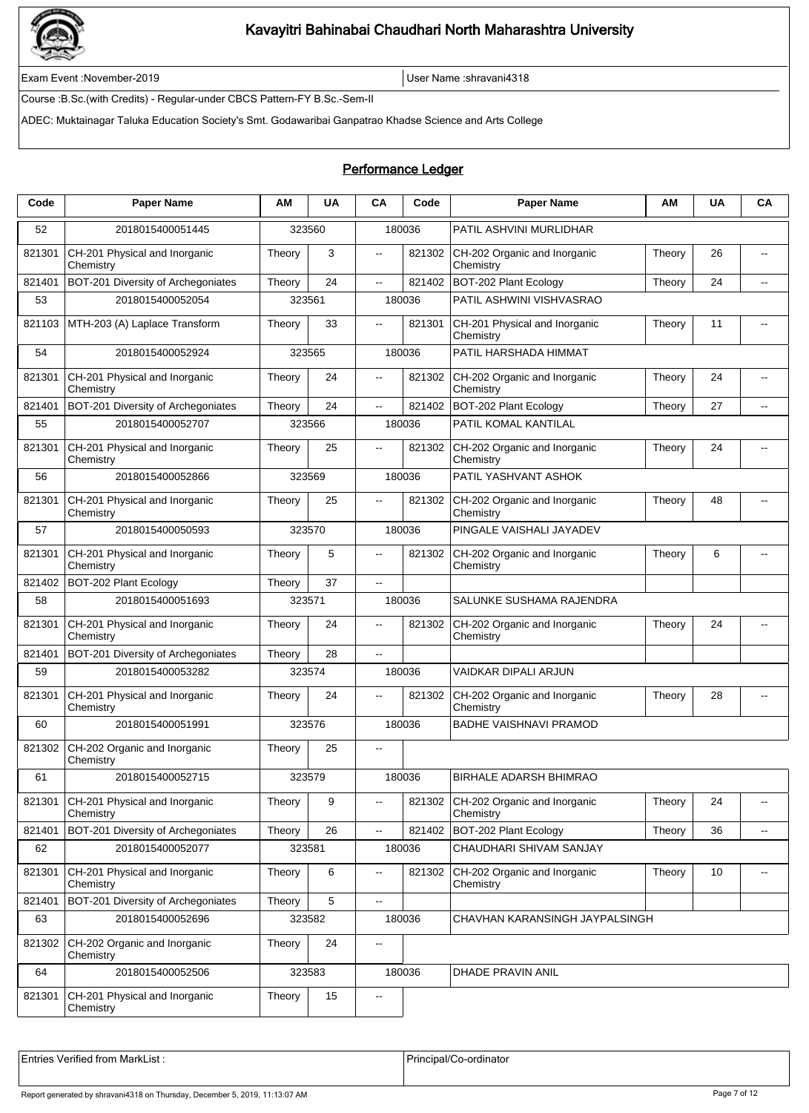

Exam Event :November-2019 User Name :shravani4318

Course :B.Sc.(with Credits) - Regular-under CBCS Pattern-FY B.Sc.-Sem-II

ADEC: Muktainagar Taluka Education Society's Smt. Godawaribai Ganpatrao Khadse Science and Arts College

### Performance Ledger

| Code   | <b>Paper Name</b>                          | ΑM     | <b>UA</b> | CA                       | Code   | <b>Paper Name</b>                          | ΑM     | <b>UA</b> | CA                       |
|--------|--------------------------------------------|--------|-----------|--------------------------|--------|--------------------------------------------|--------|-----------|--------------------------|
| 52     | 2018015400051445                           |        | 323560    |                          | 180036 | PATIL ASHVINI MURLIDHAR                    |        |           |                          |
| 821301 | CH-201 Physical and Inorganic<br>Chemistry | Theory | 3         | $\overline{\phantom{a}}$ | 821302 | CH-202 Organic and Inorganic<br>Chemistry  | Theory | 26        | $\overline{\phantom{a}}$ |
| 821401 | BOT-201 Diversity of Archegoniates         | Theory | 24        | $\overline{\phantom{a}}$ | 821402 | BOT-202 Plant Ecology                      | Theory | 24        | $\overline{a}$           |
| 53     | 2018015400052054                           |        | 323561    |                          | 180036 | PATIL ASHWINI VISHVASRAO                   |        |           |                          |
| 821103 | MTH-203 (A) Laplace Transform              | Theory | 33        | $\overline{a}$           | 821301 | CH-201 Physical and Inorganic<br>Chemistry | Theory | 11        | $\overline{a}$           |
| 54     | 2018015400052924                           |        | 323565    |                          | 180036 | PATIL HARSHADA HIMMAT                      |        |           |                          |
| 821301 | CH-201 Physical and Inorganic<br>Chemistry | Theory | 24        | Щ.                       | 821302 | CH-202 Organic and Inorganic<br>Chemistry  | Theory | 24        |                          |
| 821401 | BOT-201 Diversity of Archegoniates         | Theory | 24        | $\overline{\phantom{a}}$ | 821402 | BOT-202 Plant Ecology                      | Theory | 27        | $\overline{a}$           |
| 55     | 2018015400052707                           |        | 323566    |                          | 180036 | PATIL KOMAL KANTILAL                       |        |           |                          |
| 821301 | CH-201 Physical and Inorganic<br>Chemistry | Theory | 25        |                          | 821302 | CH-202 Organic and Inorganic<br>Chemistry  | Theory | 24        |                          |
| 56     | 2018015400052866                           |        | 323569    |                          | 180036 | PATIL YASHVANT ASHOK                       |        |           |                          |
| 821301 | CH-201 Physical and Inorganic<br>Chemistry | Theory | 25        | $\overline{\phantom{a}}$ | 821302 | CH-202 Organic and Inorganic<br>Chemistry  | Theory | 48        |                          |
| 57     | 2018015400050593                           |        | 323570    |                          | 180036 | PINGALE VAISHALI JAYADEV                   |        |           |                          |
| 821301 | CH-201 Physical and Inorganic<br>Chemistry | Theory | 5         | $\overline{a}$           | 821302 | CH-202 Organic and Inorganic<br>Chemistry  | Theory | 6         | $\overline{a}$           |
| 821402 | BOT-202 Plant Ecology                      | Theory | 37        | $\overline{\phantom{a}}$ |        |                                            |        |           |                          |
| 58     | 2018015400051693                           | 323571 |           |                          | 180036 | SALUNKE SUSHAMA RAJENDRA                   |        |           |                          |
| 821301 | CH-201 Physical and Inorganic<br>Chemistry | Theory | 24        | $\overline{\phantom{a}}$ | 821302 | CH-202 Organic and Inorganic<br>Chemistry  | Theory | 24        |                          |
| 821401 | BOT-201 Diversity of Archegoniates         | Theory | 28        | $\sim$                   |        |                                            |        |           |                          |
| 59     | 2018015400053282                           |        | 323574    |                          | 180036 | VAIDKAR DIPALI ARJUN                       |        |           |                          |
| 821301 | CH-201 Physical and Inorganic<br>Chemistry | Theory | 24        | $\overline{a}$           | 821302 | CH-202 Organic and Inorganic<br>Chemistry  | Theory | 28        | $\overline{\phantom{a}}$ |
| 60     | 2018015400051991                           |        | 323576    |                          | 180036 | <b>BADHE VAISHNAVI PRAMOD</b>              |        |           |                          |
| 821302 | CH-202 Organic and Inorganic<br>Chemistry  | Theory | 25        | $\sim$                   |        |                                            |        |           |                          |
| 61     | 2018015400052715                           |        | 323579    |                          | 180036 | <b>BIRHALE ADARSH BHIMRAO</b>              |        |           |                          |
| 821301 | CH-201 Physical and Inorganic<br>Chemistry | Theory | 9         | $\overline{\phantom{a}}$ | 821302 | CH-202 Organic and Inorganic<br>Chemistry  | Theory | 24        | $\sim$ $\sim$            |
| 821401 | BOT-201 Diversity of Archegoniates         | Theory | 26        | $\overline{\phantom{a}}$ | 821402 | BOT-202 Plant Ecology                      | Theory | 36        | $\overline{\phantom{a}}$ |
| 62     | 2018015400052077                           |        | 323581    |                          | 180036 | CHAUDHARI SHIVAM SANJAY                    |        |           |                          |
| 821301 | CH-201 Physical and Inorganic<br>Chemistry | Theory | 6         | $\overline{\phantom{a}}$ | 821302 | CH-202 Organic and Inorganic<br>Chemistry  | Theory | 10        |                          |
| 821401 | BOT-201 Diversity of Archegoniates         | Theory | 5         | $\overline{\phantom{a}}$ |        |                                            |        |           |                          |
| 63     | 2018015400052696                           |        | 323582    |                          | 180036 | CHAVHAN KARANSINGH JAYPALSINGH             |        |           |                          |
| 821302 | CH-202 Organic and Inorganic<br>Chemistry  | Theory | 24        | $\overline{\phantom{a}}$ |        |                                            |        |           |                          |
| 64     | 2018015400052506                           |        | 323583    |                          | 180036 | DHADE PRAVIN ANIL                          |        |           |                          |
| 821301 | CH-201 Physical and Inorganic<br>Chemistry | Theory | 15        | $\overline{\phantom{a}}$ |        |                                            |        |           |                          |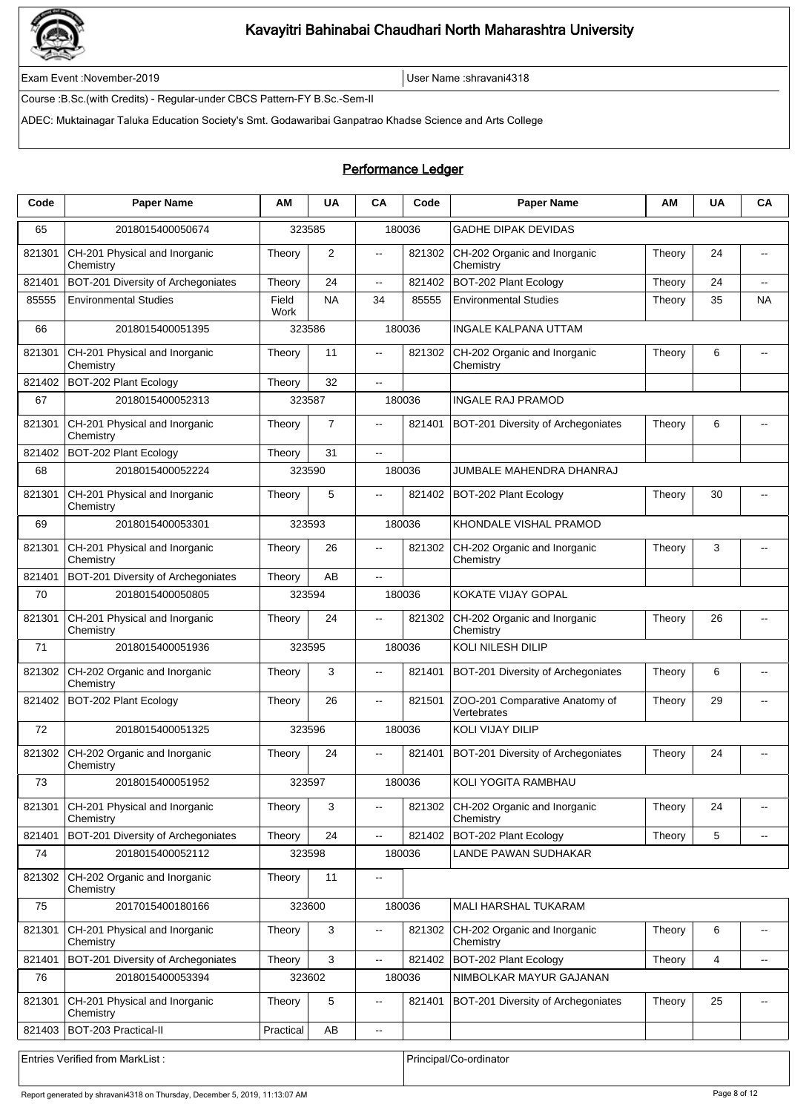

Exam Event :November-2019 User Name :shravani4318

Course :B.Sc.(with Credits) - Regular-under CBCS Pattern-FY B.Sc.-Sem-II

ADEC: Muktainagar Taluka Education Society's Smt. Godawaribai Ganpatrao Khadse Science and Arts College

### Performance Ledger

| Code   | <b>Paper Name</b>                          | ΑM            | <b>UA</b>      | CA                                            | Code   | <b>Paper Name</b>                             | ΑM     | <b>UA</b> | CA                       |
|--------|--------------------------------------------|---------------|----------------|-----------------------------------------------|--------|-----------------------------------------------|--------|-----------|--------------------------|
| 65     | 2018015400050674                           |               | 323585         |                                               | 180036 | <b>GADHE DIPAK DEVIDAS</b>                    |        |           |                          |
| 821301 | CH-201 Physical and Inorganic<br>Chemistry | Theory        | 2              | $\overline{\phantom{a}}$                      | 821302 | CH-202 Organic and Inorganic<br>Chemistry     | Theory | 24        | $-$                      |
| 821401 | BOT-201 Diversity of Archegoniates         | Theory        | 24             | $\overline{\phantom{a}}$                      | 821402 | BOT-202 Plant Ecology                         | Theory | 24        | $\overline{a}$           |
| 85555  | <b>Environmental Studies</b>               | Field<br>Work | <b>NA</b>      | 34                                            | 85555  | <b>Environmental Studies</b>                  | Theory | 35        | <b>NA</b>                |
| 66     | 2018015400051395                           |               | 323586         |                                               | 180036 | <b>INGALE KALPANA UTTAM</b>                   |        |           |                          |
| 821301 | CH-201 Physical and Inorganic<br>Chemistry | Theory        | 11             | $\overline{\phantom{a}}$                      | 821302 | CH-202 Organic and Inorganic<br>Chemistry     | Theory | 6         | $\overline{a}$           |
| 821402 | BOT-202 Plant Ecology                      | Theory        | 32             | $\overline{a}$                                |        |                                               |        |           |                          |
| 67     | 2018015400052313                           |               | 323587         |                                               | 180036 | <b>INGALE RAJ PRAMOD</b>                      |        |           |                          |
| 821301 | CH-201 Physical and Inorganic<br>Chemistry | Theory        | $\overline{7}$ | $\overline{\phantom{a}}$                      | 821401 | BOT-201 Diversity of Archegoniates            | Theory | 6         | $\overline{\phantom{a}}$ |
| 821402 | BOT-202 Plant Ecology                      | Theory        | 31             | $\overline{a}$                                |        |                                               |        |           |                          |
| 68     | 2018015400052224                           | 323590        |                |                                               | 180036 | JUMBALE MAHENDRA DHANRAJ                      |        |           |                          |
| 821301 | CH-201 Physical and Inorganic<br>Chemistry | Theory        | 5              | $\sim$                                        | 821402 | BOT-202 Plant Ecology                         | Theory | 30        |                          |
| 69     | 2018015400053301                           | 323593        |                |                                               | 180036 | KHONDALE VISHAL PRAMOD                        |        |           |                          |
| 821301 | CH-201 Physical and Inorganic<br>Chemistry | Theory        | 26             | $\overline{\phantom{a}}$                      | 821302 | CH-202 Organic and Inorganic<br>Chemistry     | Theory | 3         |                          |
| 821401 | BOT-201 Diversity of Archegoniates         | Theory        | AB             | $\sim$                                        |        |                                               |        |           |                          |
| 70     | 2018015400050805                           | 323594        |                |                                               | 180036 | <b>KOKATE VIJAY GOPAL</b>                     |        |           |                          |
| 821301 | CH-201 Physical and Inorganic<br>Chemistry | Theory        | 24             | $\overline{\phantom{a}}$                      | 821302 | CH-202 Organic and Inorganic<br>Chemistry     | Theory | 26        | $\overline{\phantom{a}}$ |
| 71     | 2018015400051936                           |               | 323595         |                                               | 180036 | <b>KOLI NILESH DILIP</b>                      |        |           |                          |
| 821302 | CH-202 Organic and Inorganic<br>Chemistry  | Theory        | 3              | $\overline{a}$                                | 821401 | BOT-201 Diversity of Archegoniates            | Theory | 6         | $\overline{a}$           |
| 821402 | BOT-202 Plant Ecology                      | Theory        | 26             | $\overline{\phantom{a}}$                      | 821501 | ZOO-201 Comparative Anatomy of<br>Vertebrates | Theory | 29        |                          |
| 72     | 2018015400051325                           |               | 323596         |                                               | 180036 | KOLI VIJAY DILIP                              |        |           |                          |
| 821302 | CH-202 Organic and Inorganic<br>Chemistry  | Theory        | 24             | $\overline{\phantom{a}}$                      | 821401 | <b>BOT-201 Diversity of Archegoniates</b>     | Theory | 24        |                          |
| 73     | 2018015400051952                           |               | 323597         |                                               | 180036 | KOLI YOGITA RAMBHAU                           |        |           |                          |
| 821301 | CH-201 Physical and Inorganic<br>Chemistry | Theory        | 3              | $\mathord{\hspace{1pt}\text{--}\hspace{1pt}}$ | 821302 | CH-202 Organic and Inorganic<br>Chemistry     | Theory | 24        | $\overline{\phantom{a}}$ |
| 821401 | BOT-201 Diversity of Archegoniates         | Theory        | 24             | $\overline{\phantom{a}}$                      | 821402 | BOT-202 Plant Ecology                         | Theory | 5         |                          |
| 74     | 2018015400052112                           |               | 323598         |                                               | 180036 | LANDE PAWAN SUDHAKAR                          |        |           |                          |
| 821302 | CH-202 Organic and Inorganic<br>Chemistry  | Theory        | 11             | $\overline{\phantom{a}}$                      |        |                                               |        |           |                          |
| 75     | 2017015400180166                           |               | 323600         |                                               | 180036 | MALI HARSHAL TUKARAM                          |        |           |                          |
| 821301 | CH-201 Physical and Inorganic<br>Chemistry | Theory        | 3              | $\overline{a}$                                | 821302 | CH-202 Organic and Inorganic<br>Chemistry     | Theory | 6         |                          |
| 821401 | BOT-201 Diversity of Archegoniates         | Theory        | 3              | ц.                                            | 821402 | BOT-202 Plant Ecology                         | Theory | 4         | $\overline{\phantom{a}}$ |
| 76     | 2018015400053394                           | 323602        |                |                                               | 180036 | NIMBOLKAR MAYUR GAJANAN                       |        |           |                          |
| 821301 | CH-201 Physical and Inorganic<br>Chemistry | Theory        | 5              | $\overline{\phantom{a}}$                      | 821401 | BOT-201 Diversity of Archegoniates            | Theory | 25        | $\overline{\phantom{a}}$ |
| 821403 | BOT-203 Practical-II                       | Practical     | AB             | $\overline{\phantom{a}}$                      |        |                                               |        |           |                          |
|        | Entries Verified from MarkList:            |               |                |                                               |        | Principal/Co-ordinator                        |        |           |                          |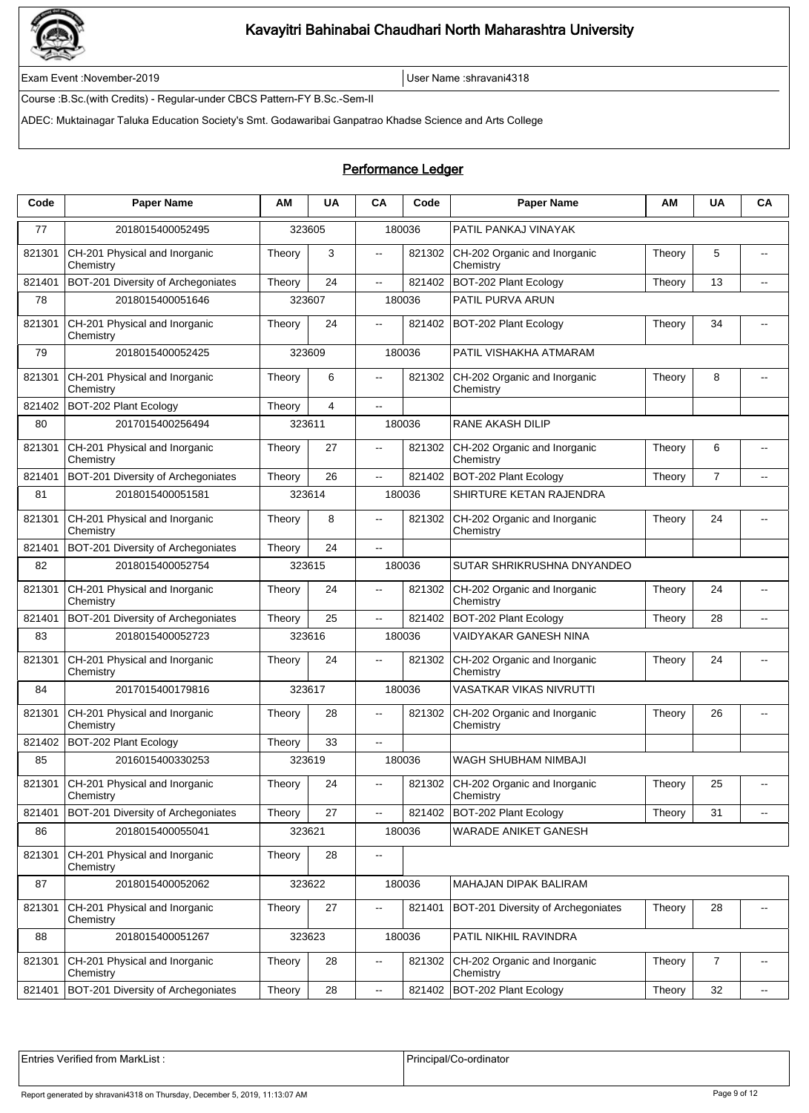

Exam Event :November-2019 User Name :shravani4318

Course :B.Sc.(with Credits) - Regular-under CBCS Pattern-FY B.Sc.-Sem-II

ADEC: Muktainagar Taluka Education Society's Smt. Godawaribai Ganpatrao Khadse Science and Arts College

### Performance Ledger

| Code   | <b>Paper Name</b>                          | ΑM     | <b>UA</b>      | CA                       | Code   | <b>Paper Name</b>                                | АΜ     | <b>UA</b>      | CA                       |
|--------|--------------------------------------------|--------|----------------|--------------------------|--------|--------------------------------------------------|--------|----------------|--------------------------|
| 77     | 2018015400052495                           |        | 323605         |                          | 180036 | PATIL PANKAJ VINAYAK                             |        |                |                          |
| 821301 | CH-201 Physical and Inorganic<br>Chemistry | Theory | 3              | $\overline{\phantom{a}}$ | 821302 | CH-202 Organic and Inorganic<br>Chemistry        | Theory | 5              | $\overline{a}$           |
| 821401 | BOT-201 Diversity of Archegoniates         | Theory | 24             | $\overline{\phantom{a}}$ | 821402 | BOT-202 Plant Ecology                            | Theory | 13             |                          |
| 78     | 2018015400051646                           |        | 323607         |                          | 180036 | PATIL PURVA ARUN                                 |        |                |                          |
| 821301 | CH-201 Physical and Inorganic<br>Chemistry | Theory | 24             | μ.                       | 821402 | BOT-202 Plant Ecology                            | Theory | 34             |                          |
| 79     | 2018015400052425                           |        | 323609         |                          | 180036 | PATIL VISHAKHA ATMARAM                           |        |                |                          |
| 821301 | CH-201 Physical and Inorganic<br>Chemistry | Theory | 6              | μ.                       | 821302 | CH-202 Organic and Inorganic<br>Chemistry        | Theory | 8              |                          |
| 821402 | BOT-202 Plant Ecology                      | Theory | $\overline{4}$ | $\sim$                   |        |                                                  |        |                |                          |
| 80     | 2017015400256494                           | 323611 |                |                          | 180036 | RANE AKASH DILIP                                 |        |                |                          |
| 821301 | CH-201 Physical and Inorganic<br>Chemistry | Theory | 27             | $\sim$                   | 821302 | CH-202 Organic and Inorganic<br>Chemistry        | Theory | 6              |                          |
| 821401 | BOT-201 Diversity of Archegoniates         | Theory | 26             | --                       | 821402 | BOT-202 Plant Ecology                            | Theory | $\overline{7}$ |                          |
| 81     | 2018015400051581                           |        | 323614         |                          | 180036 | SHIRTURE KETAN RAJENDRA                          |        |                |                          |
| 821301 | CH-201 Physical and Inorganic<br>Chemistry | Theory | 8              | μ.                       | 821302 | CH-202 Organic and Inorganic<br>Chemistry        | Theory | 24             |                          |
| 821401 | BOT-201 Diversity of Archegoniates         | Theory | 24             | ă.                       |        |                                                  |        |                |                          |
| 82     | 2018015400052754                           |        | 323615         |                          | 180036 | SUTAR SHRIKRUSHNA DNYANDEO                       |        |                |                          |
| 821301 | CH-201 Physical and Inorganic<br>Chemistry | Theory | 24             | -−                       | 821302 | CH-202 Organic and Inorganic<br>Chemistry        | Theory | 24             |                          |
| 821401 | BOT-201 Diversity of Archegoniates         | Theory | 25             | $\sim$                   | 821402 | BOT-202 Plant Ecology                            | Theory | 28             | $\overline{\phantom{a}}$ |
| 83     | 2018015400052723                           |        | 323616         |                          | 180036 | VAIDYAKAR GANESH NINA                            |        |                |                          |
| 821301 | CH-201 Physical and Inorganic<br>Chemistry | Theory | 24             | $\overline{\phantom{a}}$ | 821302 | CH-202 Organic and Inorganic<br>Chemistry        | Theory | 24             |                          |
| 84     | 2017015400179816                           |        | 323617         |                          | 180036 | VASATKAR VIKAS NIVRUTTI                          |        |                |                          |
| 821301 | CH-201 Physical and Inorganic<br>Chemistry | Theory | 28             | $\overline{a}$           | 821302 | CH-202 Organic and Inorganic<br>Chemistry        | Theory | 26             | $\overline{a}$           |
| 821402 | BOT-202 Plant Ecology                      | Theory | 33             | $\overline{\phantom{a}}$ |        |                                                  |        |                |                          |
| 85     | 2016015400330253                           |        | 323619         |                          | 180036 | WAGH SHUBHAM NIMBAJI                             |        |                |                          |
| 821301 | CH-201 Physical and Inorganic<br>Chemistry | Theory | 24             |                          |        | 821302 CH-202 Organic and Inorganic<br>Chemistry | Theory | 25             |                          |
| 821401 | BOT-201 Diversity of Archegoniates         | Theory | 27             | --                       | 821402 | BOT-202 Plant Ecology                            | Theory | 31             |                          |
| 86     | 2018015400055041                           |        | 323621         |                          | 180036 | WARADE ANIKET GANESH                             |        |                |                          |
| 821301 | CH-201 Physical and Inorganic<br>Chemistry | Theory | 28             | $\overline{\phantom{a}}$ |        |                                                  |        |                |                          |
| 87     | 2018015400052062                           |        | 323622         |                          | 180036 | MAHAJAN DIPAK BALIRAM                            |        |                |                          |
| 821301 | CH-201 Physical and Inorganic<br>Chemistry | Theory | 27             | $\overline{\phantom{a}}$ | 821401 | BOT-201 Diversity of Archegoniates               | Theory | 28             |                          |
| 88     | 2018015400051267                           |        | 323623         |                          | 180036 | PATIL NIKHIL RAVINDRA                            |        |                |                          |
| 821301 | CH-201 Physical and Inorganic<br>Chemistry | Theory | 28             | $\overline{\phantom{a}}$ | 821302 | CH-202 Organic and Inorganic<br>Chemistry        | Theory | 7              |                          |
| 821401 | BOT-201 Diversity of Archegoniates         | Theory | 28             | $\overline{\phantom{a}}$ | 821402 | BOT-202 Plant Ecology                            | Theory | 32             | ۰.                       |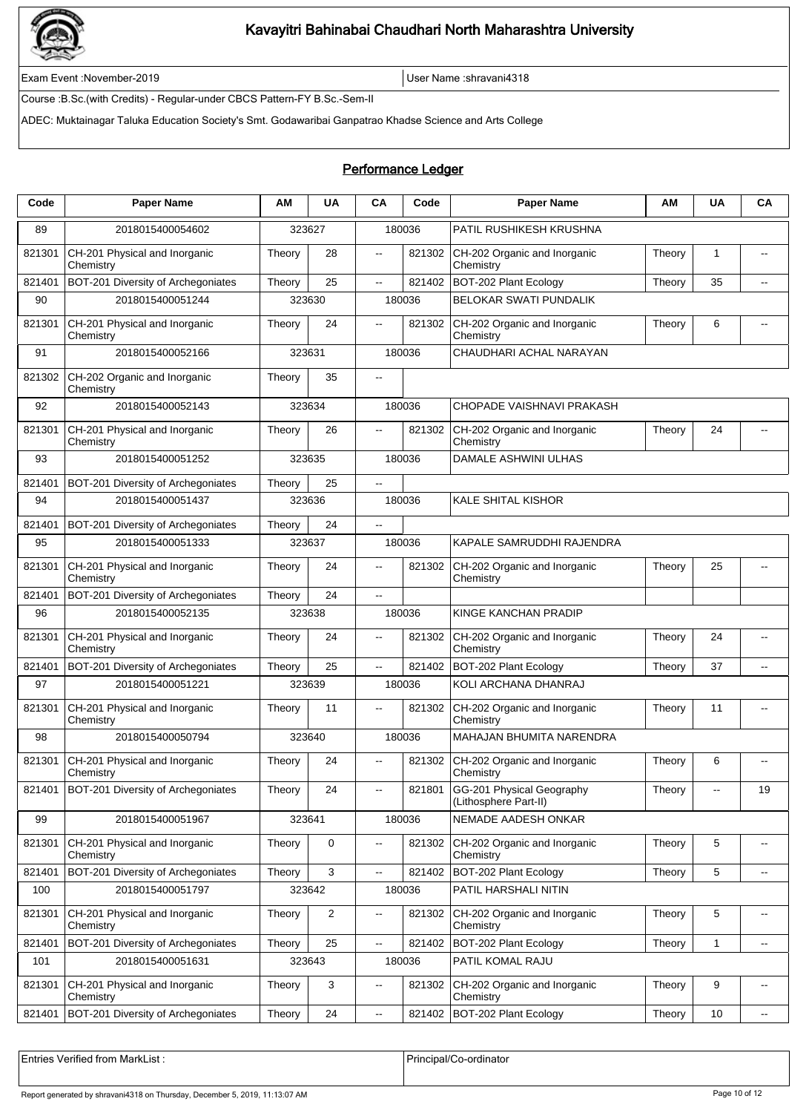

Exam Event :November-2019 User Name :shravani4318

Course :B.Sc.(with Credits) - Regular-under CBCS Pattern-FY B.Sc.-Sem-II

ADEC: Muktainagar Taluka Education Society's Smt. Godawaribai Ganpatrao Khadse Science and Arts College

### Performance Ledger

| Code   | <b>Paper Name</b>                          | АM     | <b>UA</b>    | <b>CA</b>                | Code   | <b>Paper Name</b>                                  | ΑM     | UA                                            | CA                       |
|--------|--------------------------------------------|--------|--------------|--------------------------|--------|----------------------------------------------------|--------|-----------------------------------------------|--------------------------|
| 89     | 2018015400054602                           |        | 323627       |                          | 180036 | PATIL RUSHIKESH KRUSHNA                            |        |                                               |                          |
| 821301 | CH-201 Physical and Inorganic<br>Chemistry | Theory | 28           | $\overline{\phantom{a}}$ | 821302 | CH-202 Organic and Inorganic<br>Chemistry          | Theory | 1                                             |                          |
| 821401 | BOT-201 Diversity of Archegoniates         | Theory | 25           | Ξ.                       | 821402 | BOT-202 Plant Ecology                              | Theory | 35                                            | $\overline{a}$           |
| 90     | 2018015400051244                           |        | 323630       |                          | 180036 | <b>BELOKAR SWATI PUNDALIK</b>                      |        |                                               |                          |
| 821301 | CH-201 Physical and Inorganic<br>Chemistry | Theory | 24           | $\overline{\phantom{a}}$ | 821302 | CH-202 Organic and Inorganic<br>Chemistry          | Theory | 6                                             | $\overline{a}$           |
| 91     | 2018015400052166                           |        | 323631       |                          | 180036 | CHAUDHARI ACHAL NARAYAN                            |        |                                               |                          |
| 821302 | CH-202 Organic and Inorganic<br>Chemistry  | Theory | 35           | $\overline{\phantom{a}}$ |        |                                                    |        |                                               |                          |
| 92     | 2018015400052143                           |        | 323634       |                          | 180036 | CHOPADE VAISHNAVI PRAKASH                          |        |                                               |                          |
| 821301 | CH-201 Physical and Inorganic<br>Chemistry | Theory | 26           |                          | 821302 | CH-202 Organic and Inorganic<br>Chemistry          | Theory | 24                                            |                          |
| 93     | 2018015400051252                           |        | 323635       |                          | 180036 | DAMALE ASHWINI ULHAS                               |        |                                               |                          |
| 821401 | BOT-201 Diversity of Archegoniates         | Theory | 25           | $\overline{a}$           |        |                                                    |        |                                               |                          |
| 94     | 2018015400051437                           |        | 323636       |                          | 180036 | <b>KALE SHITAL KISHOR</b>                          |        |                                               |                          |
| 821401 | BOT-201 Diversity of Archegoniates         | Theory | 24           | цü.                      |        |                                                    |        |                                               |                          |
| 95     | 2018015400051333                           |        | 323637       |                          | 180036 | KAPALE SAMRUDDHI RAJENDRA                          |        |                                               |                          |
| 821301 | CH-201 Physical and Inorganic<br>Chemistry | Theory | 24           | μ.                       | 821302 | CH-202 Organic and Inorganic<br>Chemistry          | Theory | 25                                            |                          |
| 821401 | BOT-201 Diversity of Archegoniates         | Theory | 24           | цü.                      |        |                                                    |        |                                               |                          |
| 96     | 2018015400052135                           |        | 323638       |                          | 180036 | KINGE KANCHAN PRADIP                               |        |                                               |                          |
| 821301 | CH-201 Physical and Inorganic<br>Chemistry | Theory | 24           | $\overline{a}$           | 821302 | CH-202 Organic and Inorganic<br>Chemistry          | Theory | 24                                            | $-$                      |
| 821401 | BOT-201 Diversity of Archegoniates         | Theory | 25           | $\overline{\phantom{a}}$ | 821402 | BOT-202 Plant Ecology                              | Theory | 37                                            | $\overline{\phantom{a}}$ |
| 97     | 2018015400051221                           |        | 323639       |                          | 180036 | KOLI ARCHANA DHANRAJ                               |        |                                               |                          |
| 821301 | CH-201 Physical and Inorganic<br>Chemistry | Theory | 11           | $\overline{a}$           | 821302 | CH-202 Organic and Inorganic<br>Chemistry          | Theory | 11                                            | $\overline{\phantom{a}}$ |
| 98     | 2018015400050794                           |        | 323640       |                          | 180036 | MAHAJAN BHUMITA NARENDRA                           |        |                                               |                          |
| 821301 | CH-201 Physical and Inorganic<br>Chemistry | Theory | 24           | $\overline{a}$           | 821302 | CH-202 Organic and Inorganic<br>Chemistry          | Theory | 6                                             |                          |
| 821401 | BOT-201 Diversity of Archegoniates         | Theory | 24           | $\overline{\phantom{a}}$ | 821801 | GG-201 Physical Geography<br>(Lithosphere Part-II) | Theory | $\mathord{\hspace{1pt}\text{--}\hspace{1pt}}$ | 19                       |
| 99     | 2018015400051967                           |        | 323641       |                          | 180036 | NEMADE AADESH ONKAR                                |        |                                               |                          |
| 821301 | CH-201 Physical and Inorganic<br>Chemistry | Theory | $\mathbf 0$  | $\overline{\phantom{a}}$ | 821302 | CH-202 Organic and Inorganic<br>Chemistry          | Theory | 5                                             | $\overline{\phantom{a}}$ |
| 821401 | BOT-201 Diversity of Archegoniates         | Theory | 3            | --                       | 821402 | BOT-202 Plant Ecology                              | Theory | 5                                             | $\overline{a}$           |
| 100    | 2018015400051797                           |        | 323642       |                          | 180036 | PATIL HARSHALI NITIN                               |        |                                               |                          |
| 821301 | CH-201 Physical and Inorganic<br>Chemistry | Theory | 2            | $- -$                    | 821302 | CH-202 Organic and Inorganic<br>Chemistry          | Theory | 5                                             | $\overline{\phantom{a}}$ |
| 821401 | BOT-201 Diversity of Archegoniates         | Theory | 25           | Ξ.                       | 821402 | BOT-202 Plant Ecology                              | Theory | 1                                             | $\overline{\phantom{a}}$ |
| 101    | 2018015400051631                           |        | 323643       |                          | 180036 | PATIL KOMAL RAJU                                   |        |                                               |                          |
| 821301 | CH-201 Physical and Inorganic<br>Chemistry | Theory | $\mathbf{3}$ | .,                       | 821302 | CH-202 Organic and Inorganic<br>Chemistry          | Theory | 9                                             | $\overline{\phantom{a}}$ |
| 821401 | BOT-201 Diversity of Archegoniates         | Theory | 24           | --                       | 821402 | BOT-202 Plant Ecology                              | Theory | 10                                            | $\overline{\phantom{a}}$ |
|        |                                            |        |              |                          |        |                                                    |        |                                               |                          |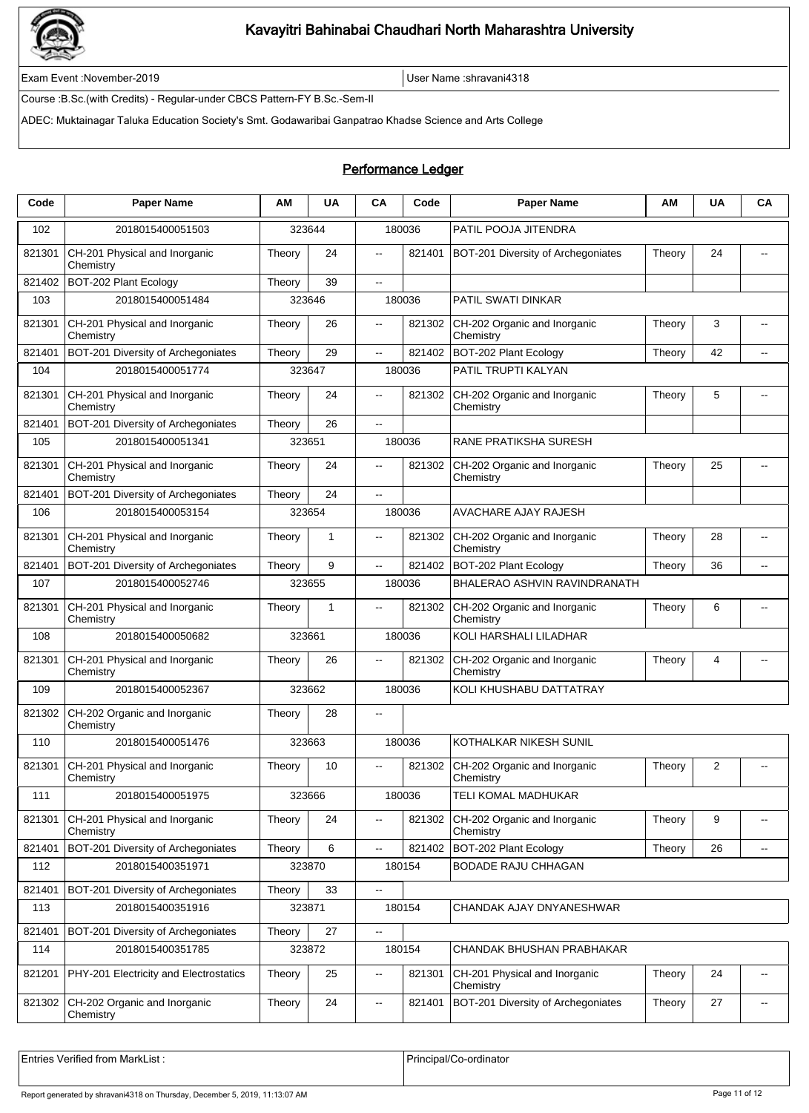

Exam Event :November-2019 User Name :shravani4318

Course :B.Sc.(with Credits) - Regular-under CBCS Pattern-FY B.Sc.-Sem-II

ADEC: Muktainagar Taluka Education Society's Smt. Godawaribai Ganpatrao Khadse Science and Arts College

### Performance Ledger

| Code   | <b>Paper Name</b>                          | ΑM     | <b>UA</b> | CA                       | Code   | <b>Paper Name</b>                          | ΑM     | <b>UA</b> | CA                       |
|--------|--------------------------------------------|--------|-----------|--------------------------|--------|--------------------------------------------|--------|-----------|--------------------------|
| 102    | 2018015400051503                           |        | 323644    |                          | 180036 | PATIL POOJA JITENDRA                       |        |           |                          |
| 821301 | CH-201 Physical and Inorganic<br>Chemistry | Theory | 24        | $\overline{\phantom{a}}$ | 821401 | BOT-201 Diversity of Archegoniates         | Theory | 24        | $\overline{\phantom{a}}$ |
| 821402 | BOT-202 Plant Ecology                      | Theory | 39        | $\overline{\phantom{a}}$ |        |                                            |        |           |                          |
| 103    | 2018015400051484                           |        | 323646    |                          | 180036 | PATIL SWATI DINKAR                         |        |           |                          |
| 821301 | CH-201 Physical and Inorganic<br>Chemistry | Theory | 26        | $\overline{\phantom{a}}$ | 821302 | CH-202 Organic and Inorganic<br>Chemistry  | Theory | 3         | $\overline{\phantom{a}}$ |
| 821401 | BOT-201 Diversity of Archegoniates         | Theory | 29        | Щ,                       | 821402 | BOT-202 Plant Ecology                      | Theory | 42        |                          |
| 104    | 2018015400051774                           |        | 323647    |                          | 180036 | PATIL TRUPTI KALYAN                        |        |           |                          |
| 821301 | CH-201 Physical and Inorganic<br>Chemistry | Theory | 24        | $\overline{\phantom{a}}$ | 821302 | CH-202 Organic and Inorganic<br>Chemistry  | Theory | 5         | $-$                      |
| 821401 | BOT-201 Diversity of Archegoniates         | Theory | 26        | $\overline{\phantom{a}}$ |        |                                            |        |           |                          |
| 105    | 2018015400051341                           | 323651 |           |                          | 180036 | RANE PRATIKSHA SURESH                      |        |           |                          |
| 821301 | CH-201 Physical and Inorganic<br>Chemistry | Theory | 24        | $\overline{\phantom{a}}$ | 821302 | CH-202 Organic and Inorganic<br>Chemistry  | Theory | 25        | $-$                      |
| 821401 | BOT-201 Diversity of Archegoniates         | Theory | 24        | $\overline{a}$           |        |                                            |        |           |                          |
| 106    | 2018015400053154                           |        | 323654    |                          | 180036 | <b>AVACHARE AJAY RAJESH</b>                |        |           |                          |
| 821301 | CH-201 Physical and Inorganic<br>Chemistry | Theory | 1         | $\overline{\phantom{a}}$ | 821302 | CH-202 Organic and Inorganic<br>Chemistry  | Theory | 28        | $\overline{\phantom{a}}$ |
| 821401 | BOT-201 Diversity of Archegoniates         | Theory | 9         | $\overline{a}$           | 821402 | BOT-202 Plant Ecology                      | Theory | 36        |                          |
| 107    | 2018015400052746                           |        | 323655    |                          | 180036 | BHALERAO ASHVIN RAVINDRANATH               |        |           |                          |
| 821301 | CH-201 Physical and Inorganic<br>Chemistry | Theory | 1         |                          | 821302 | CH-202 Organic and Inorganic<br>Chemistry  | Theory | 6         |                          |
| 108    | 2018015400050682                           | 323661 |           |                          | 180036 | KOLI HARSHALI LILADHAR                     |        |           |                          |
| 821301 | CH-201 Physical and Inorganic<br>Chemistry | Theory | 26        | $\overline{\phantom{a}}$ | 821302 | CH-202 Organic and Inorganic<br>Chemistry  | Theory | 4         |                          |
| 109    | 2018015400052367                           |        | 323662    |                          | 180036 | KOLI KHUSHABU DATTATRAY                    |        |           |                          |
| 821302 | CH-202 Organic and Inorganic<br>Chemistry  | Theory | 28        | $\overline{\phantom{a}}$ |        |                                            |        |           |                          |
| 110    | 2018015400051476                           |        | 323663    |                          | 180036 | KOTHALKAR NIKESH SUNIL                     |        |           |                          |
| 821301 | CH-201 Physical and Inorganic<br>Chemistry | Theory | 10        |                          | 821302 | CH-202 Organic and Inorganic<br>Chemistry  | Theory | 2         |                          |
| 111    | 2018015400051975                           |        | 323666    |                          | 180036 | TELI KOMAL MADHUKAR                        |        |           |                          |
| 821301 | CH-201 Physical and Inorganic<br>Chemistry | Theory | 24        | $\overline{\phantom{a}}$ | 821302 | CH-202 Organic and Inorganic<br>Chemistry  | Theory | 9         | $\overline{\phantom{a}}$ |
| 821401 | BOT-201 Diversity of Archegoniates         | Theory | 6         | ц.                       | 821402 | BOT-202 Plant Ecology                      | Theory | 26        | $\overline{a}$           |
| 112    | 2018015400351971                           |        | 323870    |                          | 180154 | <b>BODADE RAJU CHHAGAN</b>                 |        |           |                          |
| 821401 | BOT-201 Diversity of Archegoniates         | Theory | 33        | $\overline{\phantom{a}}$ |        |                                            |        |           |                          |
| 113    | 2018015400351916                           | 323871 |           |                          | 180154 | CHANDAK AJAY DNYANESHWAR                   |        |           |                          |
| 821401 | BOT-201 Diversity of Archegoniates         | Theory | 27        | $\overline{\phantom{a}}$ |        |                                            |        |           |                          |
| 114    | 2018015400351785                           |        | 323872    |                          | 180154 | CHANDAK BHUSHAN PRABHAKAR                  |        |           |                          |
| 821201 | PHY-201 Electricity and Electrostatics     | Theory | 25        | $\overline{\phantom{a}}$ | 821301 | CH-201 Physical and Inorganic<br>Chemistry | Theory | 24        | $\overline{\phantom{a}}$ |
| 821302 | CH-202 Organic and Inorganic<br>Chemistry  | Theory | 24        | $\overline{\phantom{a}}$ | 821401 | BOT-201 Diversity of Archegoniates         | Theory | 27        | $\overline{\phantom{a}}$ |